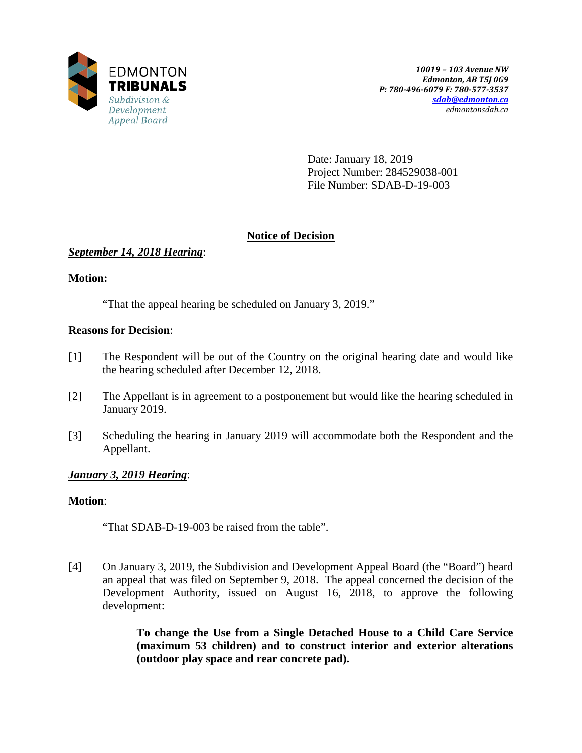

Date: January 18, 2019 Project Number: 284529038-001 File Number: SDAB-D-19-003

# **Notice of Decision**

# *September 14, 2018 Hearing*:

# **Motion:**

"That the appeal hearing be scheduled on January 3, 2019."

# **Reasons for Decision**:

- [1] The Respondent will be out of the Country on the original hearing date and would like the hearing scheduled after December 12, 2018.
- [2] The Appellant is in agreement to a postponement but would like the hearing scheduled in January 2019.
- [3] Scheduling the hearing in January 2019 will accommodate both the Respondent and the Appellant.

# *January 3, 2019 Hearing*:

## **Motion**:

"That SDAB-D-19-003 be raised from the table".

[4] On January 3, 2019, the Subdivision and Development Appeal Board (the "Board") heard an appeal that was filed on September 9, 2018. The appeal concerned the decision of the Development Authority, issued on August 16, 2018, to approve the following development:

> **To change the Use from a Single Detached House to a Child Care Service (maximum 53 children) and to construct interior and exterior alterations (outdoor play space and rear concrete pad).**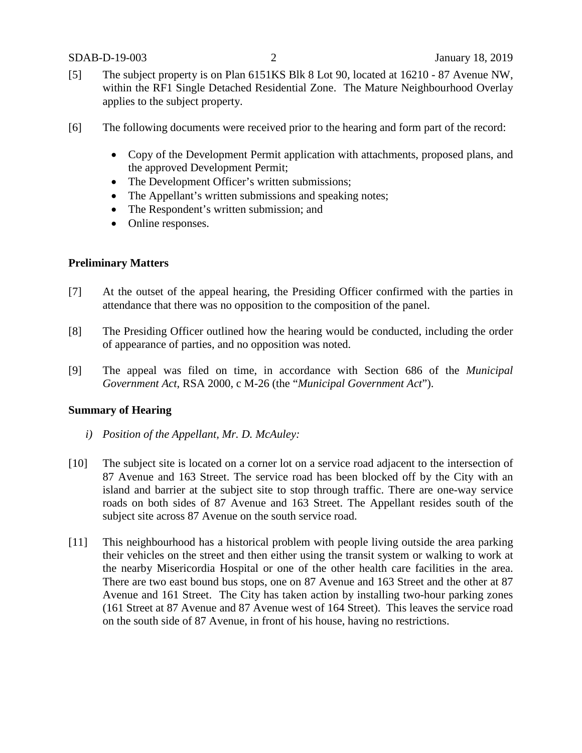- [5] The subject property is on Plan 6151KS Blk 8 Lot 90, located at 16210 87 Avenue NW, within the RF1 Single Detached Residential Zone. The Mature Neighbourhood Overlay applies to the subject property.
- [6] The following documents were received prior to the hearing and form part of the record:
	- Copy of the Development Permit application with attachments, proposed plans, and the approved Development Permit;
	- The Development Officer's written submissions;
	- The Appellant's written submissions and speaking notes;
	- The Respondent's written submission; and
	- Online responses.

## **Preliminary Matters**

- [7] At the outset of the appeal hearing, the Presiding Officer confirmed with the parties in attendance that there was no opposition to the composition of the panel.
- [8] The Presiding Officer outlined how the hearing would be conducted, including the order of appearance of parties, and no opposition was noted.
- [9] The appeal was filed on time, in accordance with Section 686 of the *Municipal Government Act*, RSA 2000, c M-26 (the "*Municipal Government Act*").

## **Summary of Hearing**

- *i) Position of the Appellant, Mr. D. McAuley:*
- [10] The subject site is located on a corner lot on a service road adjacent to the intersection of 87 Avenue and 163 Street. The service road has been blocked off by the City with an island and barrier at the subject site to stop through traffic. There are one-way service roads on both sides of 87 Avenue and 163 Street. The Appellant resides south of the subject site across 87 Avenue on the south service road.
- [11] This neighbourhood has a historical problem with people living outside the area parking their vehicles on the street and then either using the transit system or walking to work at the nearby Misericordia Hospital or one of the other health care facilities in the area. There are two east bound bus stops, one on 87 Avenue and 163 Street and the other at 87 Avenue and 161 Street. The City has taken action by installing two-hour parking zones (161 Street at 87 Avenue and 87 Avenue west of 164 Street). This leaves the service road on the south side of 87 Avenue, in front of his house, having no restrictions.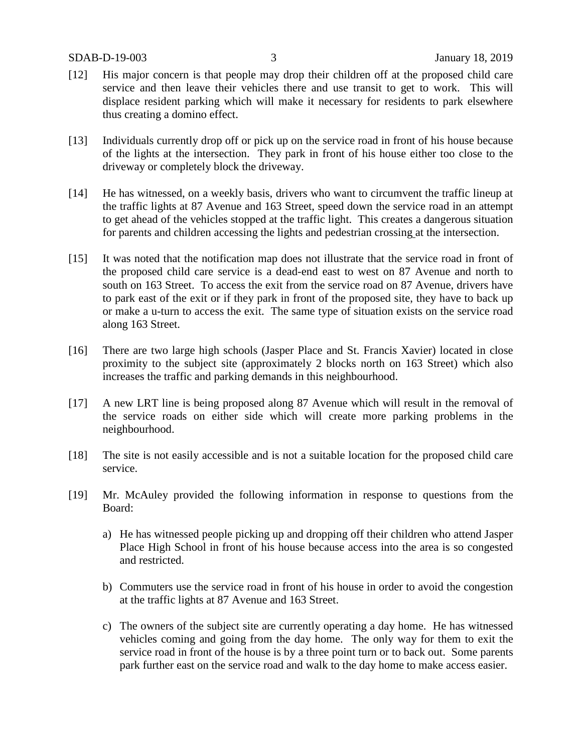- [12] His major concern is that people may drop their children off at the proposed child care service and then leave their vehicles there and use transit to get to work. This will displace resident parking which will make it necessary for residents to park elsewhere thus creating a domino effect.
- [13] Individuals currently drop off or pick up on the service road in front of his house because of the lights at the intersection. They park in front of his house either too close to the driveway or completely block the driveway.
- [14] He has witnessed, on a weekly basis, drivers who want to circumvent the traffic lineup at the traffic lights at 87 Avenue and 163 Street, speed down the service road in an attempt to get ahead of the vehicles stopped at the traffic light. This creates a dangerous situation for parents and children accessing the lights and pedestrian crossing at the intersection.
- [15] It was noted that the notification map does not illustrate that the service road in front of the proposed child care service is a dead-end east to west on 87 Avenue and north to south on 163 Street. To access the exit from the service road on 87 Avenue, drivers have to park east of the exit or if they park in front of the proposed site, they have to back up or make a u-turn to access the exit. The same type of situation exists on the service road along 163 Street.
- [16] There are two large high schools (Jasper Place and St. Francis Xavier) located in close proximity to the subject site (approximately 2 blocks north on 163 Street) which also increases the traffic and parking demands in this neighbourhood.
- [17] A new LRT line is being proposed along 87 Avenue which will result in the removal of the service roads on either side which will create more parking problems in the neighbourhood.
- [18] The site is not easily accessible and is not a suitable location for the proposed child care service.
- [19] Mr. McAuley provided the following information in response to questions from the Board:
	- a) He has witnessed people picking up and dropping off their children who attend Jasper Place High School in front of his house because access into the area is so congested and restricted.
	- b) Commuters use the service road in front of his house in order to avoid the congestion at the traffic lights at 87 Avenue and 163 Street.
	- c) The owners of the subject site are currently operating a day home. He has witnessed vehicles coming and going from the day home. The only way for them to exit the service road in front of the house is by a three point turn or to back out. Some parents park further east on the service road and walk to the day home to make access easier.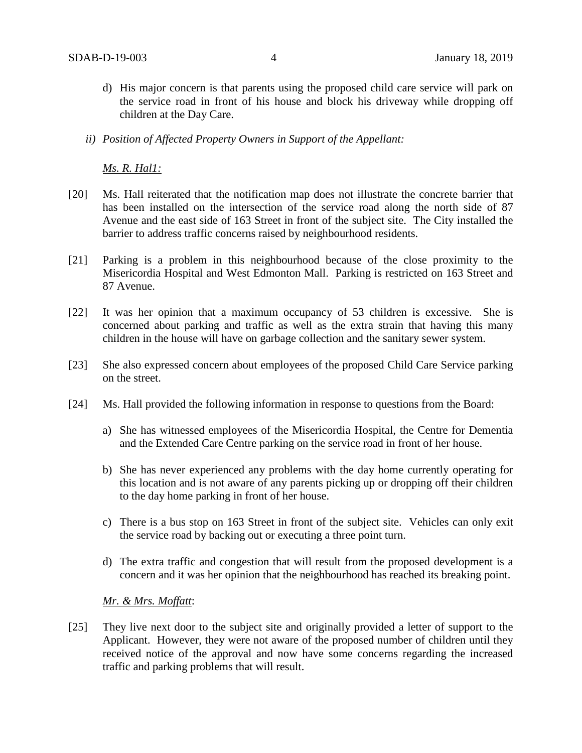- d) His major concern is that parents using the proposed child care service will park on the service road in front of his house and block his driveway while dropping off children at the Day Care.
- *ii) Position of Affected Property Owners in Support of the Appellant:*

*Ms. R. Hal1:*

- [20] Ms. Hall reiterated that the notification map does not illustrate the concrete barrier that has been installed on the intersection of the service road along the north side of 87 Avenue and the east side of 163 Street in front of the subject site. The City installed the barrier to address traffic concerns raised by neighbourhood residents.
- [21] Parking is a problem in this neighbourhood because of the close proximity to the Misericordia Hospital and West Edmonton Mall. Parking is restricted on 163 Street and 87 Avenue.
- [22] It was her opinion that a maximum occupancy of 53 children is excessive. She is concerned about parking and traffic as well as the extra strain that having this many children in the house will have on garbage collection and the sanitary sewer system.
- [23] She also expressed concern about employees of the proposed Child Care Service parking on the street.
- [24] Ms. Hall provided the following information in response to questions from the Board:
	- a) She has witnessed employees of the Misericordia Hospital, the Centre for Dementia and the Extended Care Centre parking on the service road in front of her house.
	- b) She has never experienced any problems with the day home currently operating for this location and is not aware of any parents picking up or dropping off their children to the day home parking in front of her house.
	- c) There is a bus stop on 163 Street in front of the subject site. Vehicles can only exit the service road by backing out or executing a three point turn.
	- d) The extra traffic and congestion that will result from the proposed development is a concern and it was her opinion that the neighbourhood has reached its breaking point.

*Mr. & Mrs. Moffatt*:

[25] They live next door to the subject site and originally provided a letter of support to the Applicant. However, they were not aware of the proposed number of children until they received notice of the approval and now have some concerns regarding the increased traffic and parking problems that will result.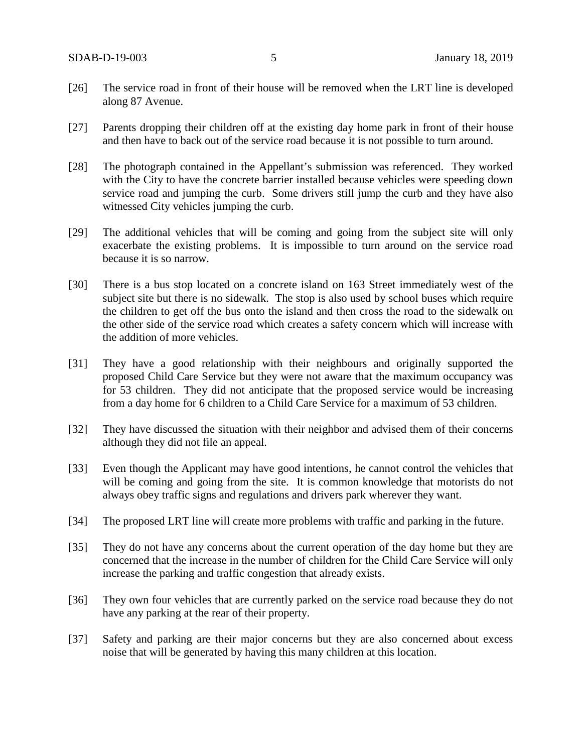- [26] The service road in front of their house will be removed when the LRT line is developed along 87 Avenue.
- [27] Parents dropping their children off at the existing day home park in front of their house and then have to back out of the service road because it is not possible to turn around.
- [28] The photograph contained in the Appellant's submission was referenced. They worked with the City to have the concrete barrier installed because vehicles were speeding down service road and jumping the curb. Some drivers still jump the curb and they have also witnessed City vehicles jumping the curb.
- [29] The additional vehicles that will be coming and going from the subject site will only exacerbate the existing problems. It is impossible to turn around on the service road because it is so narrow.
- [30] There is a bus stop located on a concrete island on 163 Street immediately west of the subject site but there is no sidewalk. The stop is also used by school buses which require the children to get off the bus onto the island and then cross the road to the sidewalk on the other side of the service road which creates a safety concern which will increase with the addition of more vehicles.
- [31] They have a good relationship with their neighbours and originally supported the proposed Child Care Service but they were not aware that the maximum occupancy was for 53 children. They did not anticipate that the proposed service would be increasing from a day home for 6 children to a Child Care Service for a maximum of 53 children.
- [32] They have discussed the situation with their neighbor and advised them of their concerns although they did not file an appeal.
- [33] Even though the Applicant may have good intentions, he cannot control the vehicles that will be coming and going from the site. It is common knowledge that motorists do not always obey traffic signs and regulations and drivers park wherever they want.
- [34] The proposed LRT line will create more problems with traffic and parking in the future.
- [35] They do not have any concerns about the current operation of the day home but they are concerned that the increase in the number of children for the Child Care Service will only increase the parking and traffic congestion that already exists.
- [36] They own four vehicles that are currently parked on the service road because they do not have any parking at the rear of their property.
- [37] Safety and parking are their major concerns but they are also concerned about excess noise that will be generated by having this many children at this location.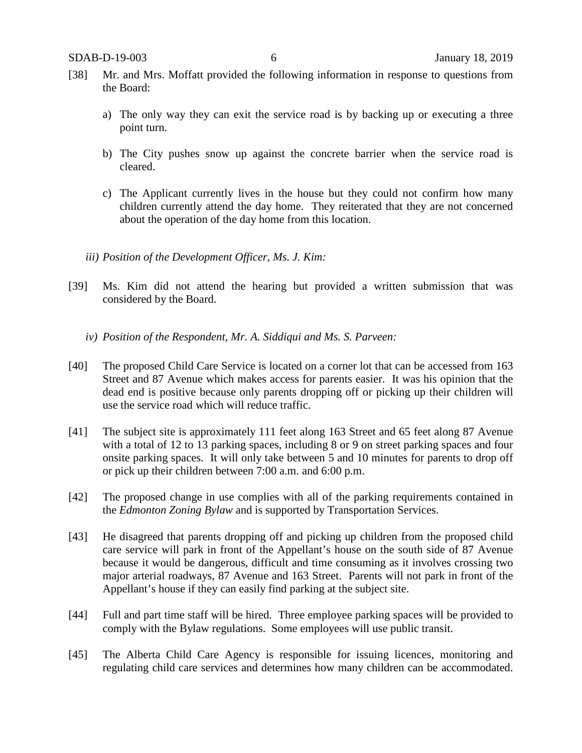- [38] Mr. and Mrs. Moffatt provided the following information in response to questions from the Board:
	- a) The only way they can exit the service road is by backing up or executing a three point turn.
	- b) The City pushes snow up against the concrete barrier when the service road is cleared.
	- c) The Applicant currently lives in the house but they could not confirm how many children currently attend the day home. They reiterated that they are not concerned about the operation of the day home from this location.
	- *iii) Position of the Development Officer, Ms. J. Kim:*
- [39] Ms. Kim did not attend the hearing but provided a written submission that was considered by the Board.
	- *iv) Position of the Respondent, Mr. A. Siddiqui and Ms. S. Parveen:*
- [40] The proposed Child Care Service is located on a corner lot that can be accessed from 163 Street and 87 Avenue which makes access for parents easier. It was his opinion that the dead end is positive because only parents dropping off or picking up their children will use the service road which will reduce traffic.
- [41] The subject site is approximately 111 feet along 163 Street and 65 feet along 87 Avenue with a total of 12 to 13 parking spaces, including 8 or 9 on street parking spaces and four onsite parking spaces. It will only take between 5 and 10 minutes for parents to drop off or pick up their children between 7:00 a.m. and 6:00 p.m.
- [42] The proposed change in use complies with all of the parking requirements contained in the *Edmonton Zoning Bylaw* and is supported by Transportation Services.
- [43] He disagreed that parents dropping off and picking up children from the proposed child care service will park in front of the Appellant's house on the south side of 87 Avenue because it would be dangerous, difficult and time consuming as it involves crossing two major arterial roadways, 87 Avenue and 163 Street. Parents will not park in front of the Appellant's house if they can easily find parking at the subject site.
- [44] Full and part time staff will be hired. Three employee parking spaces will be provided to comply with the Bylaw regulations. Some employees will use public transit.
- [45] The Alberta Child Care Agency is responsible for issuing licences, monitoring and regulating child care services and determines how many children can be accommodated.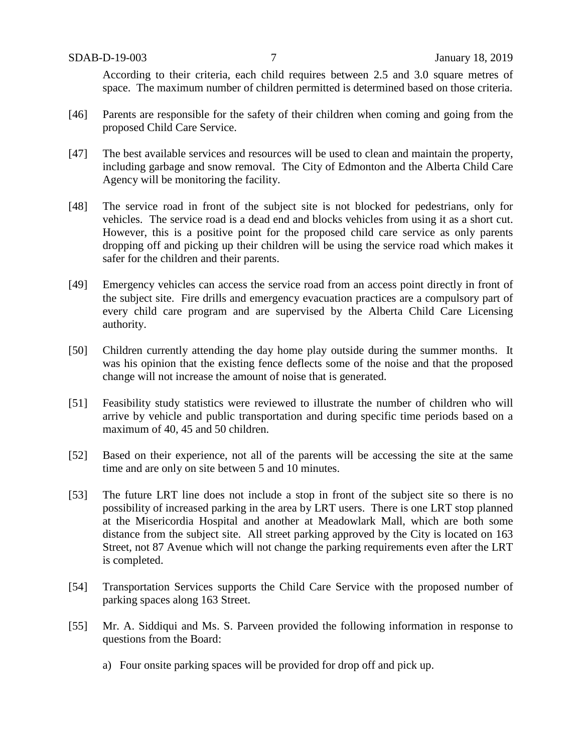According to their criteria, each child requires between 2.5 and 3.0 square metres of space. The maximum number of children permitted is determined based on those criteria.

- [46] Parents are responsible for the safety of their children when coming and going from the proposed Child Care Service.
- [47] The best available services and resources will be used to clean and maintain the property, including garbage and snow removal. The City of Edmonton and the Alberta Child Care Agency will be monitoring the facility.
- [48] The service road in front of the subject site is not blocked for pedestrians, only for vehicles. The service road is a dead end and blocks vehicles from using it as a short cut. However, this is a positive point for the proposed child care service as only parents dropping off and picking up their children will be using the service road which makes it safer for the children and their parents.
- [49] Emergency vehicles can access the service road from an access point directly in front of the subject site. Fire drills and emergency evacuation practices are a compulsory part of every child care program and are supervised by the Alberta Child Care Licensing authority.
- [50] Children currently attending the day home play outside during the summer months. It was his opinion that the existing fence deflects some of the noise and that the proposed change will not increase the amount of noise that is generated.
- [51] Feasibility study statistics were reviewed to illustrate the number of children who will arrive by vehicle and public transportation and during specific time periods based on a maximum of 40, 45 and 50 children.
- [52] Based on their experience, not all of the parents will be accessing the site at the same time and are only on site between 5 and 10 minutes.
- [53] The future LRT line does not include a stop in front of the subject site so there is no possibility of increased parking in the area by LRT users. There is one LRT stop planned at the Misericordia Hospital and another at Meadowlark Mall, which are both some distance from the subject site. All street parking approved by the City is located on 163 Street, not 87 Avenue which will not change the parking requirements even after the LRT is completed.
- [54] Transportation Services supports the Child Care Service with the proposed number of parking spaces along 163 Street.
- [55] Mr. A. Siddiqui and Ms. S. Parveen provided the following information in response to questions from the Board:
	- a) Four onsite parking spaces will be provided for drop off and pick up.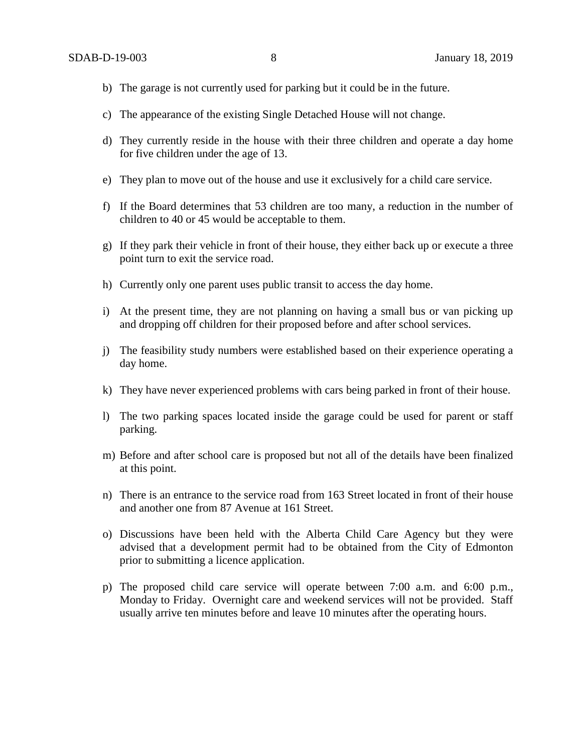- b) The garage is not currently used for parking but it could be in the future.
- c) The appearance of the existing Single Detached House will not change.
- d) They currently reside in the house with their three children and operate a day home for five children under the age of 13.
- e) They plan to move out of the house and use it exclusively for a child care service.
- f) If the Board determines that 53 children are too many, a reduction in the number of children to 40 or 45 would be acceptable to them.
- g) If they park their vehicle in front of their house, they either back up or execute a three point turn to exit the service road.
- h) Currently only one parent uses public transit to access the day home.
- i) At the present time, they are not planning on having a small bus or van picking up and dropping off children for their proposed before and after school services.
- j) The feasibility study numbers were established based on their experience operating a day home.
- k) They have never experienced problems with cars being parked in front of their house.
- l) The two parking spaces located inside the garage could be used for parent or staff parking.
- m) Before and after school care is proposed but not all of the details have been finalized at this point.
- n) There is an entrance to the service road from 163 Street located in front of their house and another one from 87 Avenue at 161 Street.
- o) Discussions have been held with the Alberta Child Care Agency but they were advised that a development permit had to be obtained from the City of Edmonton prior to submitting a licence application.
- p) The proposed child care service will operate between 7:00 a.m. and 6:00 p.m., Monday to Friday. Overnight care and weekend services will not be provided. Staff usually arrive ten minutes before and leave 10 minutes after the operating hours.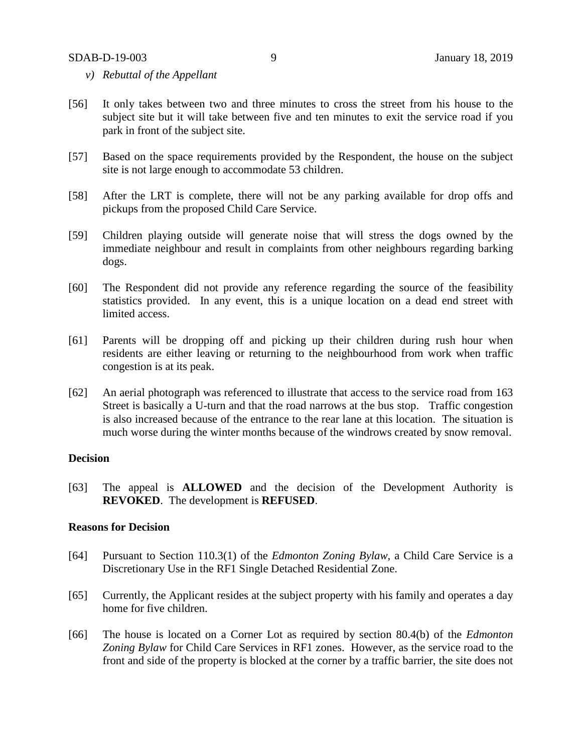- *v) Rebuttal of the Appellant*
- [56] It only takes between two and three minutes to cross the street from his house to the subject site but it will take between five and ten minutes to exit the service road if you park in front of the subject site.
- [57] Based on the space requirements provided by the Respondent, the house on the subject site is not large enough to accommodate 53 children.
- [58] After the LRT is complete, there will not be any parking available for drop offs and pickups from the proposed Child Care Service.
- [59] Children playing outside will generate noise that will stress the dogs owned by the immediate neighbour and result in complaints from other neighbours regarding barking dogs.
- [60] The Respondent did not provide any reference regarding the source of the feasibility statistics provided. In any event, this is a unique location on a dead end street with limited access.
- [61] Parents will be dropping off and picking up their children during rush hour when residents are either leaving or returning to the neighbourhood from work when traffic congestion is at its peak.
- [62] An aerial photograph was referenced to illustrate that access to the service road from 163 Street is basically a U-turn and that the road narrows at the bus stop. Traffic congestion is also increased because of the entrance to the rear lane at this location. The situation is much worse during the winter months because of the windrows created by snow removal.

#### **Decision**

[63] The appeal is **ALLOWED** and the decision of the Development Authority is **REVOKED**. The development is **REFUSED**.

#### **Reasons for Decision**

- [64] Pursuant to Section 110.3(1) of the *Edmonton Zoning Bylaw*, a Child Care Service is a Discretionary Use in the RF1 Single Detached Residential Zone.
- [65] Currently, the Applicant resides at the subject property with his family and operates a day home for five children.
- [66] The house is located on a Corner Lot as required by section 80.4(b) of the *Edmonton Zoning Bylaw* for Child Care Services in RF1 zones. However, as the service road to the front and side of the property is blocked at the corner by a traffic barrier, the site does not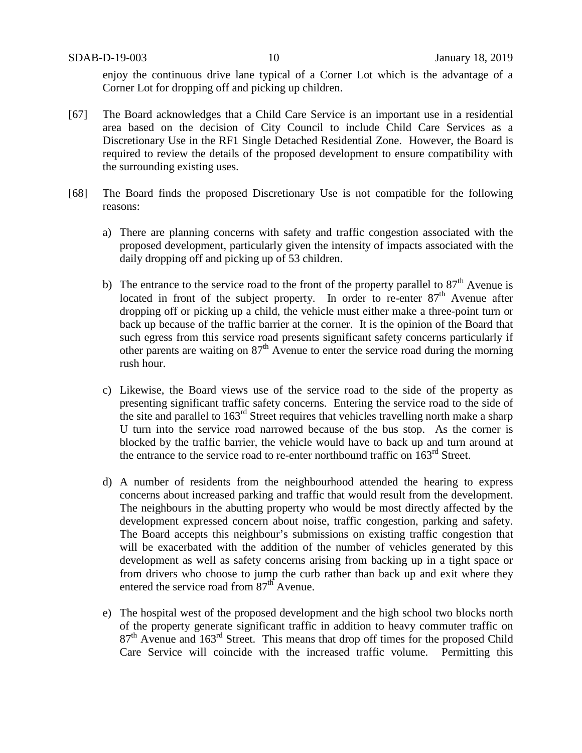enjoy the continuous drive lane typical of a Corner Lot which is the advantage of a Corner Lot for dropping off and picking up children.

- [67] The Board acknowledges that a Child Care Service is an important use in a residential area based on the decision of City Council to include Child Care Services as a Discretionary Use in the RF1 Single Detached Residential Zone. However, the Board is required to review the details of the proposed development to ensure compatibility with the surrounding existing uses.
- [68] The Board finds the proposed Discretionary Use is not compatible for the following reasons:
	- a) There are planning concerns with safety and traffic congestion associated with the proposed development, particularly given the intensity of impacts associated with the daily dropping off and picking up of 53 children.
	- b) The entrance to the service road to the front of the property parallel to  $87<sup>th</sup>$  Avenue is located in front of the subject property. In order to re-enter  $87<sup>th</sup>$  Avenue after dropping off or picking up a child, the vehicle must either make a three-point turn or back up because of the traffic barrier at the corner. It is the opinion of the Board that such egress from this service road presents significant safety concerns particularly if other parents are waiting on  $87<sup>th</sup>$  Avenue to enter the service road during the morning rush hour.
	- c) Likewise, the Board views use of the service road to the side of the property as presenting significant traffic safety concerns. Entering the service road to the side of the site and parallel to  $163<sup>rd</sup>$  Street requires that vehicles travelling north make a sharp U turn into the service road narrowed because of the bus stop. As the corner is blocked by the traffic barrier, the vehicle would have to back up and turn around at the entrance to the service road to re-enter northbound traffic on  $163<sup>rd</sup>$  Street.
	- d) A number of residents from the neighbourhood attended the hearing to express concerns about increased parking and traffic that would result from the development. The neighbours in the abutting property who would be most directly affected by the development expressed concern about noise, traffic congestion, parking and safety. The Board accepts this neighbour's submissions on existing traffic congestion that will be exacerbated with the addition of the number of vehicles generated by this development as well as safety concerns arising from backing up in a tight space or from drivers who choose to jump the curb rather than back up and exit where they entered the service road from  $87<sup>th</sup>$  Avenue.
	- e) The hospital west of the proposed development and the high school two blocks north of the property generate significant traffic in addition to heavy commuter traffic on  $87<sup>th</sup>$  Avenue and  $163<sup>rd</sup>$  Street. This means that drop off times for the proposed Child Care Service will coincide with the increased traffic volume. Permitting this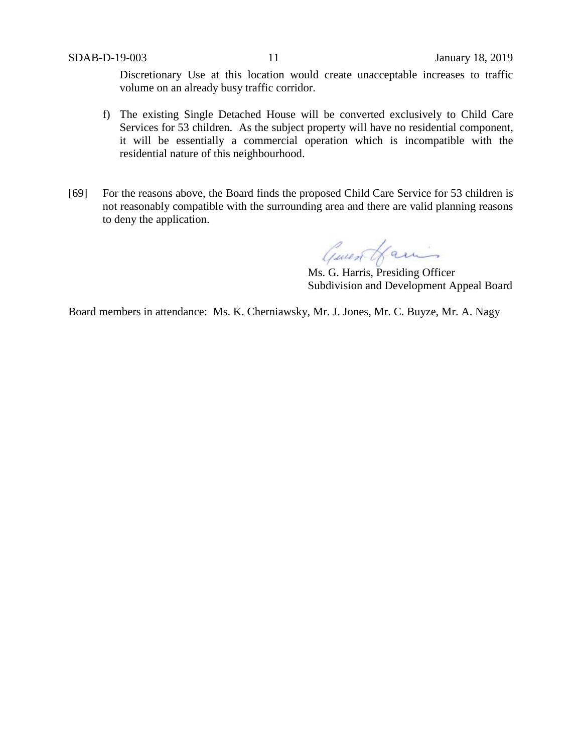Discretionary Use at this location would create unacceptable increases to traffic volume on an already busy traffic corridor.

- f) The existing Single Detached House will be converted exclusively to Child Care Services for 53 children. As the subject property will have no residential component, it will be essentially a commercial operation which is incompatible with the residential nature of this neighbourhood.
- [69] For the reasons above, the Board finds the proposed Child Care Service for 53 children is not reasonably compatible with the surrounding area and there are valid planning reasons to deny the application.

Guest Hamis

Ms. G. Harris, Presiding Officer Subdivision and Development Appeal Board

Board members in attendance: Ms. K. Cherniawsky, Mr. J. Jones, Mr. C. Buyze, Mr. A. Nagy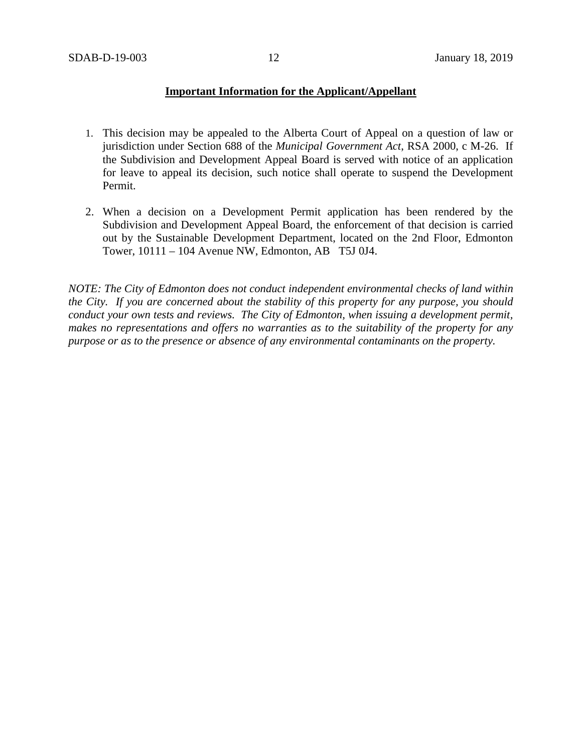## **Important Information for the Applicant/Appellant**

- 1. This decision may be appealed to the Alberta Court of Appeal on a question of law or jurisdiction under Section 688 of the *Municipal Government Act*, RSA 2000, c M-26. If the Subdivision and Development Appeal Board is served with notice of an application for leave to appeal its decision, such notice shall operate to suspend the Development Permit.
- 2. When a decision on a Development Permit application has been rendered by the Subdivision and Development Appeal Board, the enforcement of that decision is carried out by the Sustainable Development Department, located on the 2nd Floor, Edmonton Tower, 10111 – 104 Avenue NW, Edmonton, AB T5J 0J4.

*NOTE: The City of Edmonton does not conduct independent environmental checks of land within the City. If you are concerned about the stability of this property for any purpose, you should conduct your own tests and reviews. The City of Edmonton, when issuing a development permit, makes no representations and offers no warranties as to the suitability of the property for any purpose or as to the presence or absence of any environmental contaminants on the property.*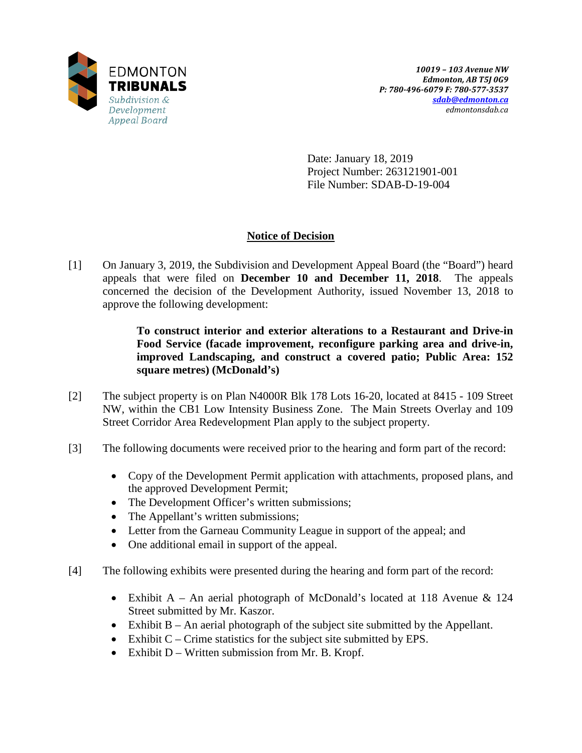

Date: January 18, 2019 Project Number: 263121901-001 File Number: SDAB-D-19-004

# **Notice of Decision**

[1] On January 3, 2019, the Subdivision and Development Appeal Board (the "Board") heard appeals that were filed on **December 10 and December 11, 2018**. The appeals concerned the decision of the Development Authority, issued November 13, 2018 to approve the following development:

> **To construct interior and exterior alterations to a Restaurant and Drive-in Food Service (facade improvement, reconfigure parking area and drive-in, improved Landscaping, and construct a covered patio; Public Area: 152 square metres) (McDonald's)**

- [2] The subject property is on Plan N4000R Blk 178 Lots 16-20, located at 8415 109 Street NW, within the CB1 Low Intensity Business Zone. The Main Streets Overlay and 109 Street Corridor Area Redevelopment Plan apply to the subject property.
- [3] The following documents were received prior to the hearing and form part of the record:
	- Copy of the Development Permit application with attachments, proposed plans, and the approved Development Permit;
	- The Development Officer's written submissions;
	- The Appellant's written submissions;
	- Letter from the Garneau Community League in support of the appeal; and
	- One additional email in support of the appeal.
- [4] The following exhibits were presented during the hearing and form part of the record:
	- Exhibit A An aerial photograph of McDonald's located at 118 Avenue & 124 Street submitted by Mr. Kaszor.
	- Exhibit B An aerial photograph of the subject site submitted by the Appellant.
	- Exhibit C Crime statistics for the subject site submitted by EPS.
	- Exhibit D Written submission from Mr. B. Kropf.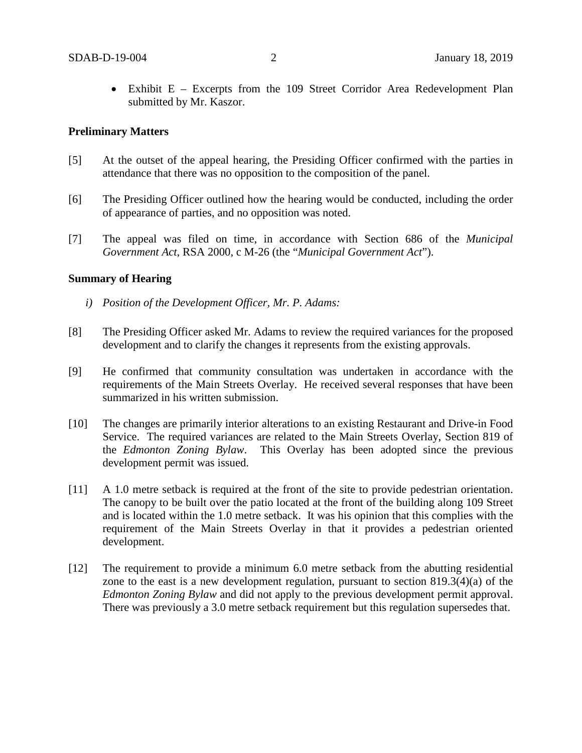• Exhibit E – Excerpts from the 109 Street Corridor Area Redevelopment Plan submitted by Mr. Kaszor.

## **Preliminary Matters**

- [5] At the outset of the appeal hearing, the Presiding Officer confirmed with the parties in attendance that there was no opposition to the composition of the panel.
- [6] The Presiding Officer outlined how the hearing would be conducted, including the order of appearance of parties, and no opposition was noted.
- [7] The appeal was filed on time, in accordance with Section 686 of the *Municipal Government Act*, RSA 2000, c M-26 (the "*Municipal Government Act*").

#### **Summary of Hearing**

- *i) Position of the Development Officer, Mr. P. Adams:*
- [8] The Presiding Officer asked Mr. Adams to review the required variances for the proposed development and to clarify the changes it represents from the existing approvals.
- [9] He confirmed that community consultation was undertaken in accordance with the requirements of the Main Streets Overlay. He received several responses that have been summarized in his written submission.
- [10] The changes are primarily interior alterations to an existing Restaurant and Drive-in Food Service. The required variances are related to the Main Streets Overlay, Section 819 of the *Edmonton Zoning Bylaw*. This Overlay has been adopted since the previous development permit was issued.
- [11] A 1.0 metre setback is required at the front of the site to provide pedestrian orientation. The canopy to be built over the patio located at the front of the building along 109 Street and is located within the 1.0 metre setback. It was his opinion that this complies with the requirement of the Main Streets Overlay in that it provides a pedestrian oriented development.
- [12] The requirement to provide a minimum 6.0 metre setback from the abutting residential zone to the east is a new development regulation, pursuant to section 819.3(4)(a) of the *Edmonton Zoning Bylaw* and did not apply to the previous development permit approval. There was previously a 3.0 metre setback requirement but this regulation supersedes that.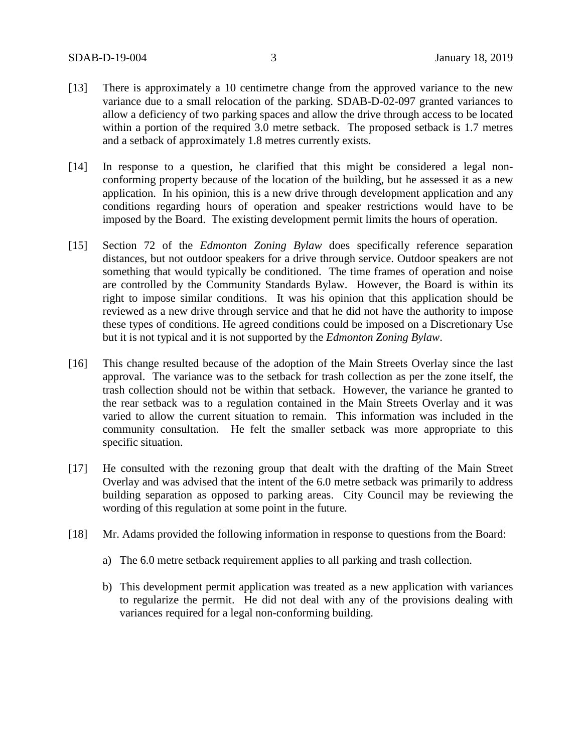- [13] There is approximately a 10 centimetre change from the approved variance to the new variance due to a small relocation of the parking. SDAB-D-02-097 granted variances to allow a deficiency of two parking spaces and allow the drive through access to be located within a portion of the required 3.0 metre setback. The proposed setback is 1.7 metres and a setback of approximately 1.8 metres currently exists.
- [14] In response to a question, he clarified that this might be considered a legal nonconforming property because of the location of the building, but he assessed it as a new application. In his opinion, this is a new drive through development application and any conditions regarding hours of operation and speaker restrictions would have to be imposed by the Board. The existing development permit limits the hours of operation.
- [15] Section 72 of the *Edmonton Zoning Bylaw* does specifically reference separation distances, but not outdoor speakers for a drive through service. Outdoor speakers are not something that would typically be conditioned. The time frames of operation and noise are controlled by the Community Standards Bylaw. However, the Board is within its right to impose similar conditions. It was his opinion that this application should be reviewed as a new drive through service and that he did not have the authority to impose these types of conditions. He agreed conditions could be imposed on a Discretionary Use but it is not typical and it is not supported by the *Edmonton Zoning Bylaw*.
- [16] This change resulted because of the adoption of the Main Streets Overlay since the last approval. The variance was to the setback for trash collection as per the zone itself, the trash collection should not be within that setback. However, the variance he granted to the rear setback was to a regulation contained in the Main Streets Overlay and it was varied to allow the current situation to remain. This information was included in the community consultation. He felt the smaller setback was more appropriate to this specific situation.
- [17] He consulted with the rezoning group that dealt with the drafting of the Main Street Overlay and was advised that the intent of the 6.0 metre setback was primarily to address building separation as opposed to parking areas. City Council may be reviewing the wording of this regulation at some point in the future.
- [18] Mr. Adams provided the following information in response to questions from the Board:
	- a) The 6.0 metre setback requirement applies to all parking and trash collection.
	- b) This development permit application was treated as a new application with variances to regularize the permit. He did not deal with any of the provisions dealing with variances required for a legal non-conforming building.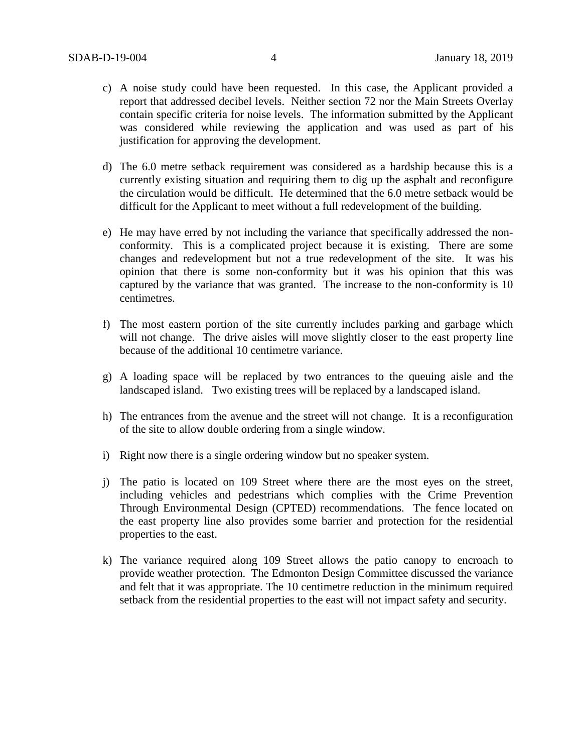- c) A noise study could have been requested. In this case, the Applicant provided a report that addressed decibel levels. Neither section 72 nor the Main Streets Overlay contain specific criteria for noise levels. The information submitted by the Applicant was considered while reviewing the application and was used as part of his justification for approving the development.
- d) The 6.0 metre setback requirement was considered as a hardship because this is a currently existing situation and requiring them to dig up the asphalt and reconfigure the circulation would be difficult. He determined that the 6.0 metre setback would be difficult for the Applicant to meet without a full redevelopment of the building.
- e) He may have erred by not including the variance that specifically addressed the nonconformity. This is a complicated project because it is existing. There are some changes and redevelopment but not a true redevelopment of the site. It was his opinion that there is some non-conformity but it was his opinion that this was captured by the variance that was granted. The increase to the non-conformity is 10 centimetres.
- f) The most eastern portion of the site currently includes parking and garbage which will not change. The drive aisles will move slightly closer to the east property line because of the additional 10 centimetre variance.
- g) A loading space will be replaced by two entrances to the queuing aisle and the landscaped island. Two existing trees will be replaced by a landscaped island.
- h) The entrances from the avenue and the street will not change. It is a reconfiguration of the site to allow double ordering from a single window.
- i) Right now there is a single ordering window but no speaker system.
- j) The patio is located on 109 Street where there are the most eyes on the street, including vehicles and pedestrians which complies with the Crime Prevention Through Environmental Design (CPTED) recommendations. The fence located on the east property line also provides some barrier and protection for the residential properties to the east.
- k) The variance required along 109 Street allows the patio canopy to encroach to provide weather protection. The Edmonton Design Committee discussed the variance and felt that it was appropriate. The 10 centimetre reduction in the minimum required setback from the residential properties to the east will not impact safety and security.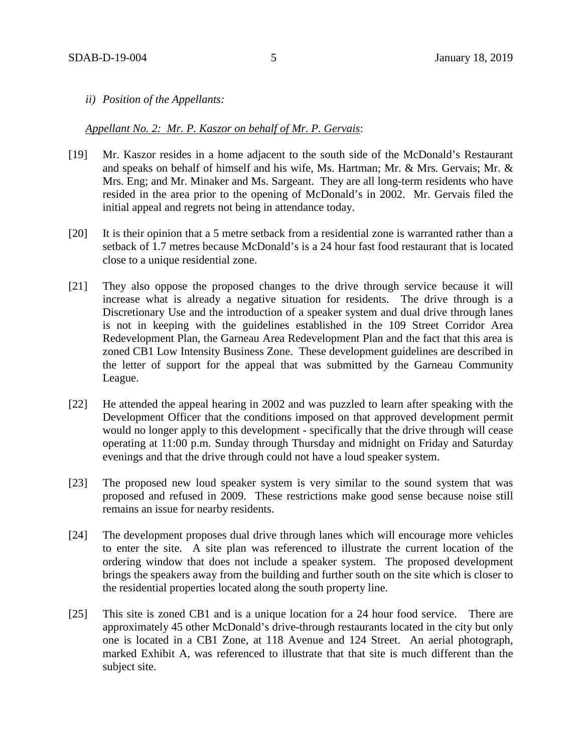*ii) Position of the Appellants:*

#### *Appellant No. 2: Mr. P. Kaszor on behalf of Mr. P. Gervais*:

- [19] Mr. Kaszor resides in a home adjacent to the south side of the McDonald's Restaurant and speaks on behalf of himself and his wife, Ms. Hartman; Mr. & Mrs. Gervais; Mr. & Mrs. Eng; and Mr. Minaker and Ms. Sargeant. They are all long-term residents who have resided in the area prior to the opening of McDonald's in 2002. Mr. Gervais filed the initial appeal and regrets not being in attendance today.
- [20] It is their opinion that a 5 metre setback from a residential zone is warranted rather than a setback of 1.7 metres because McDonald's is a 24 hour fast food restaurant that is located close to a unique residential zone.
- [21] They also oppose the proposed changes to the drive through service because it will increase what is already a negative situation for residents. The drive through is a Discretionary Use and the introduction of a speaker system and dual drive through lanes is not in keeping with the guidelines established in the 109 Street Corridor Area Redevelopment Plan, the Garneau Area Redevelopment Plan and the fact that this area is zoned CB1 Low Intensity Business Zone. These development guidelines are described in the letter of support for the appeal that was submitted by the Garneau Community League.
- [22] He attended the appeal hearing in 2002 and was puzzled to learn after speaking with the Development Officer that the conditions imposed on that approved development permit would no longer apply to this development - specifically that the drive through will cease operating at 11:00 p.m. Sunday through Thursday and midnight on Friday and Saturday evenings and that the drive through could not have a loud speaker system.
- [23] The proposed new loud speaker system is very similar to the sound system that was proposed and refused in 2009. These restrictions make good sense because noise still remains an issue for nearby residents.
- [24] The development proposes dual drive through lanes which will encourage more vehicles to enter the site. A site plan was referenced to illustrate the current location of the ordering window that does not include a speaker system. The proposed development brings the speakers away from the building and further south on the site which is closer to the residential properties located along the south property line.
- [25] This site is zoned CB1 and is a unique location for a 24 hour food service. There are approximately 45 other McDonald's drive-through restaurants located in the city but only one is located in a CB1 Zone, at 118 Avenue and 124 Street. An aerial photograph, marked Exhibit A, was referenced to illustrate that that site is much different than the subject site.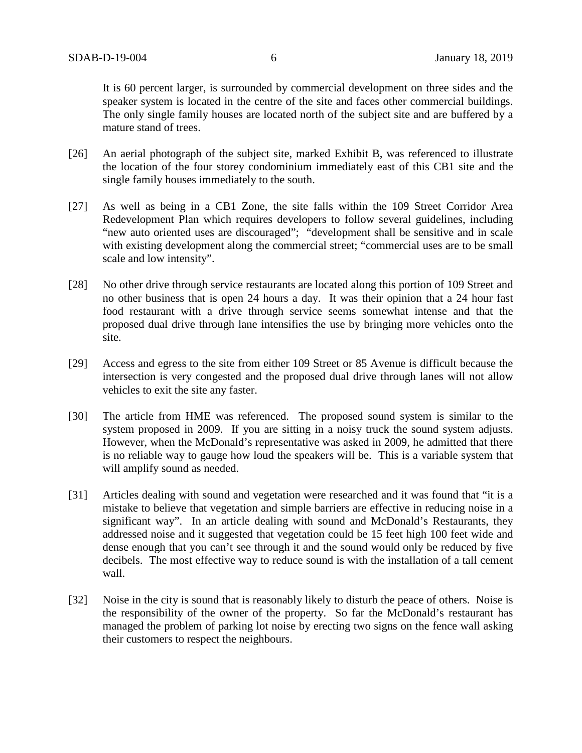It is 60 percent larger, is surrounded by commercial development on three sides and the speaker system is located in the centre of the site and faces other commercial buildings. The only single family houses are located north of the subject site and are buffered by a mature stand of trees.

- [26] An aerial photograph of the subject site, marked Exhibit B, was referenced to illustrate the location of the four storey condominium immediately east of this CB1 site and the single family houses immediately to the south.
- [27] As well as being in a CB1 Zone, the site falls within the 109 Street Corridor Area Redevelopment Plan which requires developers to follow several guidelines, including "new auto oriented uses are discouraged"; "development shall be sensitive and in scale with existing development along the commercial street; "commercial uses are to be small scale and low intensity".
- [28] No other drive through service restaurants are located along this portion of 109 Street and no other business that is open 24 hours a day. It was their opinion that a 24 hour fast food restaurant with a drive through service seems somewhat intense and that the proposed dual drive through lane intensifies the use by bringing more vehicles onto the site.
- [29] Access and egress to the site from either 109 Street or 85 Avenue is difficult because the intersection is very congested and the proposed dual drive through lanes will not allow vehicles to exit the site any faster.
- [30] The article from HME was referenced. The proposed sound system is similar to the system proposed in 2009. If you are sitting in a noisy truck the sound system adjusts. However, when the McDonald's representative was asked in 2009, he admitted that there is no reliable way to gauge how loud the speakers will be. This is a variable system that will amplify sound as needed.
- [31] Articles dealing with sound and vegetation were researched and it was found that "it is a mistake to believe that vegetation and simple barriers are effective in reducing noise in a significant way". In an article dealing with sound and McDonald's Restaurants, they addressed noise and it suggested that vegetation could be 15 feet high 100 feet wide and dense enough that you can't see through it and the sound would only be reduced by five decibels. The most effective way to reduce sound is with the installation of a tall cement wall.
- [32] Noise in the city is sound that is reasonably likely to disturb the peace of others. Noise is the responsibility of the owner of the property. So far the McDonald's restaurant has managed the problem of parking lot noise by erecting two signs on the fence wall asking their customers to respect the neighbours.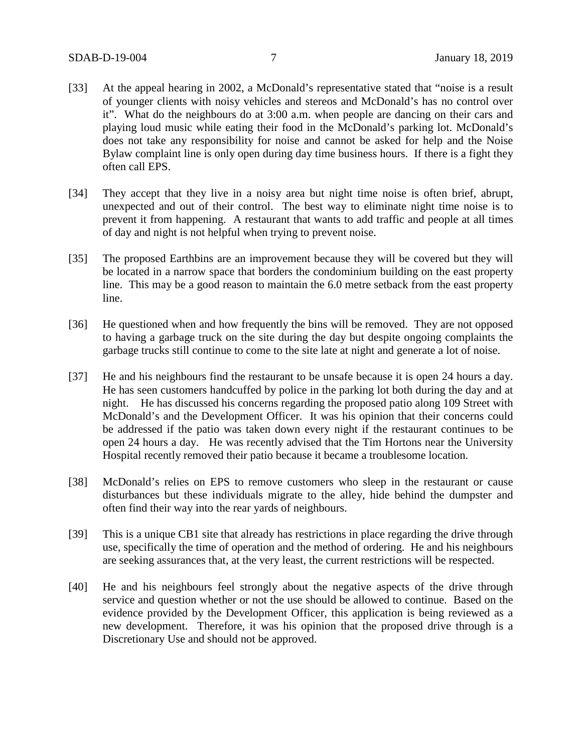- [33] At the appeal hearing in 2002, a McDonald's representative stated that "noise is a result of younger clients with noisy vehicles and stereos and McDonald's has no control over it". What do the neighbours do at 3:00 a.m. when people are dancing on their cars and playing loud music while eating their food in the McDonald's parking lot. McDonald's does not take any responsibility for noise and cannot be asked for help and the Noise Bylaw complaint line is only open during day time business hours. If there is a fight they often call EPS.
- [34] They accept that they live in a noisy area but night time noise is often brief, abrupt, unexpected and out of their control. The best way to eliminate night time noise is to prevent it from happening. A restaurant that wants to add traffic and people at all times of day and night is not helpful when trying to prevent noise.
- [35] The proposed Earthbins are an improvement because they will be covered but they will be located in a narrow space that borders the condominium building on the east property line. This may be a good reason to maintain the 6.0 metre setback from the east property line.
- [36] He questioned when and how frequently the bins will be removed. They are not opposed to having a garbage truck on the site during the day but despite ongoing complaints the garbage trucks still continue to come to the site late at night and generate a lot of noise.
- [37] He and his neighbours find the restaurant to be unsafe because it is open 24 hours a day. He has seen customers handcuffed by police in the parking lot both during the day and at night. He has discussed his concerns regarding the proposed patio along 109 Street with McDonald's and the Development Officer. It was his opinion that their concerns could be addressed if the patio was taken down every night if the restaurant continues to be open 24 hours a day. He was recently advised that the Tim Hortons near the University Hospital recently removed their patio because it became a troublesome location.
- [38] McDonald's relies on EPS to remove customers who sleep in the restaurant or cause disturbances but these individuals migrate to the alley, hide behind the dumpster and often find their way into the rear yards of neighbours.
- [39] This is a unique CB1 site that already has restrictions in place regarding the drive through use, specifically the time of operation and the method of ordering. He and his neighbours are seeking assurances that, at the very least, the current restrictions will be respected.
- [40] He and his neighbours feel strongly about the negative aspects of the drive through service and question whether or not the use should be allowed to continue. Based on the evidence provided by the Development Officer, this application is being reviewed as a new development. Therefore, it was his opinion that the proposed drive through is a Discretionary Use and should not be approved.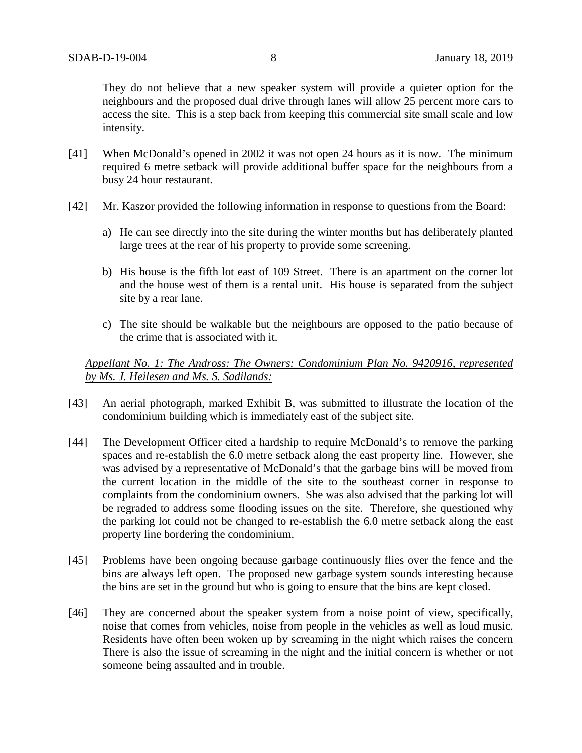They do not believe that a new speaker system will provide a quieter option for the neighbours and the proposed dual drive through lanes will allow 25 percent more cars to access the site. This is a step back from keeping this commercial site small scale and low intensity.

- [41] When McDonald's opened in 2002 it was not open 24 hours as it is now. The minimum required 6 metre setback will provide additional buffer space for the neighbours from a busy 24 hour restaurant.
- [42] Mr. Kaszor provided the following information in response to questions from the Board:
	- a) He can see directly into the site during the winter months but has deliberately planted large trees at the rear of his property to provide some screening.
	- b) His house is the fifth lot east of 109 Street. There is an apartment on the corner lot and the house west of them is a rental unit. His house is separated from the subject site by a rear lane.
	- c) The site should be walkable but the neighbours are opposed to the patio because of the crime that is associated with it.

# *Appellant No. 1: The Andross: The Owners: Condominium Plan No. 9420916, represented by Ms. J. Heilesen and Ms. S. Sadilands:*

- [43] An aerial photograph, marked Exhibit B, was submitted to illustrate the location of the condominium building which is immediately east of the subject site.
- [44] The Development Officer cited a hardship to require McDonald's to remove the parking spaces and re-establish the 6.0 metre setback along the east property line. However, she was advised by a representative of McDonald's that the garbage bins will be moved from the current location in the middle of the site to the southeast corner in response to complaints from the condominium owners. She was also advised that the parking lot will be regraded to address some flooding issues on the site. Therefore, she questioned why the parking lot could not be changed to re-establish the 6.0 metre setback along the east property line bordering the condominium.
- [45] Problems have been ongoing because garbage continuously flies over the fence and the bins are always left open. The proposed new garbage system sounds interesting because the bins are set in the ground but who is going to ensure that the bins are kept closed.
- [46] They are concerned about the speaker system from a noise point of view, specifically, noise that comes from vehicles, noise from people in the vehicles as well as loud music. Residents have often been woken up by screaming in the night which raises the concern There is also the issue of screaming in the night and the initial concern is whether or not someone being assaulted and in trouble.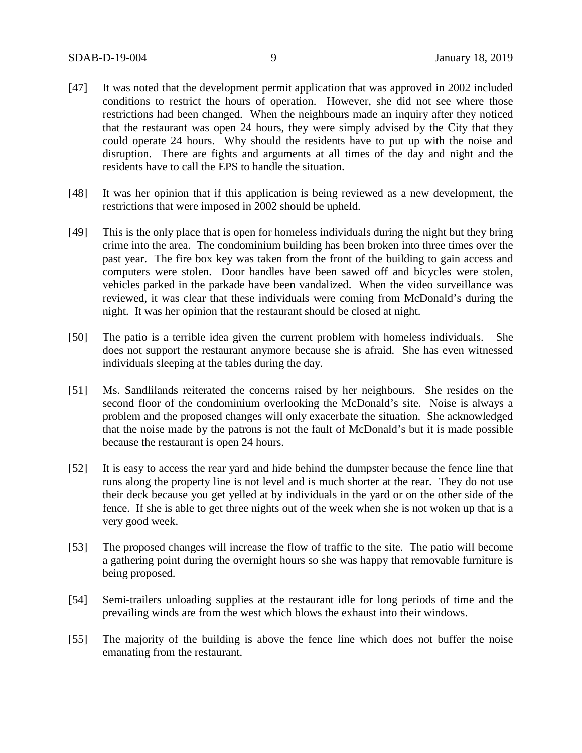- [47] It was noted that the development permit application that was approved in 2002 included conditions to restrict the hours of operation. However, she did not see where those restrictions had been changed. When the neighbours made an inquiry after they noticed that the restaurant was open 24 hours, they were simply advised by the City that they could operate 24 hours. Why should the residents have to put up with the noise and disruption. There are fights and arguments at all times of the day and night and the residents have to call the EPS to handle the situation.
- [48] It was her opinion that if this application is being reviewed as a new development, the restrictions that were imposed in 2002 should be upheld.
- [49] This is the only place that is open for homeless individuals during the night but they bring crime into the area. The condominium building has been broken into three times over the past year. The fire box key was taken from the front of the building to gain access and computers were stolen. Door handles have been sawed off and bicycles were stolen, vehicles parked in the parkade have been vandalized. When the video surveillance was reviewed, it was clear that these individuals were coming from McDonald's during the night. It was her opinion that the restaurant should be closed at night.
- [50] The patio is a terrible idea given the current problem with homeless individuals. She does not support the restaurant anymore because she is afraid. She has even witnessed individuals sleeping at the tables during the day.
- [51] Ms. Sandlilands reiterated the concerns raised by her neighbours. She resides on the second floor of the condominium overlooking the McDonald's site. Noise is always a problem and the proposed changes will only exacerbate the situation. She acknowledged that the noise made by the patrons is not the fault of McDonald's but it is made possible because the restaurant is open 24 hours.
- [52] It is easy to access the rear yard and hide behind the dumpster because the fence line that runs along the property line is not level and is much shorter at the rear. They do not use their deck because you get yelled at by individuals in the yard or on the other side of the fence. If she is able to get three nights out of the week when she is not woken up that is a very good week.
- [53] The proposed changes will increase the flow of traffic to the site. The patio will become a gathering point during the overnight hours so she was happy that removable furniture is being proposed.
- [54] Semi-trailers unloading supplies at the restaurant idle for long periods of time and the prevailing winds are from the west which blows the exhaust into their windows.
- [55] The majority of the building is above the fence line which does not buffer the noise emanating from the restaurant.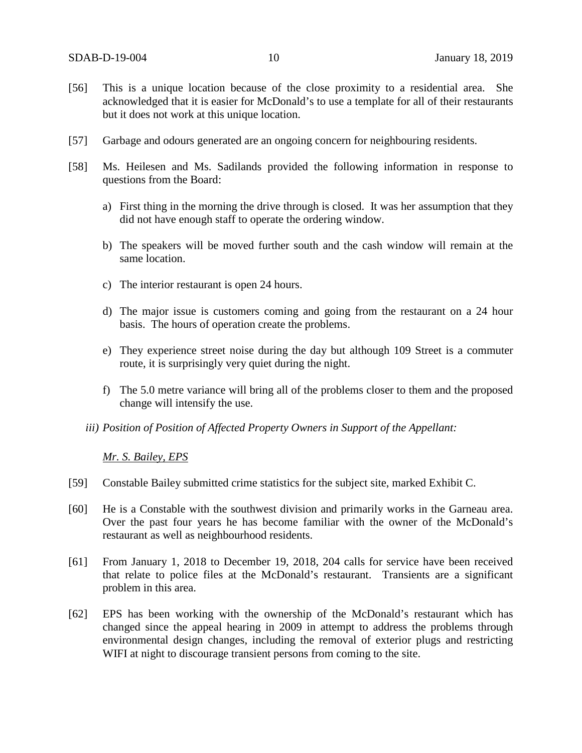- [56] This is a unique location because of the close proximity to a residential area. She acknowledged that it is easier for McDonald's to use a template for all of their restaurants but it does not work at this unique location.
- [57] Garbage and odours generated are an ongoing concern for neighbouring residents.
- [58] Ms. Heilesen and Ms. Sadilands provided the following information in response to questions from the Board:
	- a) First thing in the morning the drive through is closed. It was her assumption that they did not have enough staff to operate the ordering window.
	- b) The speakers will be moved further south and the cash window will remain at the same location.
	- c) The interior restaurant is open 24 hours.
	- d) The major issue is customers coming and going from the restaurant on a 24 hour basis. The hours of operation create the problems.
	- e) They experience street noise during the day but although 109 Street is a commuter route, it is surprisingly very quiet during the night.
	- f) The 5.0 metre variance will bring all of the problems closer to them and the proposed change will intensify the use.
	- *iii) Position of Position of Affected Property Owners in Support of the Appellant:*

*Mr. S. Bailey, EPS*

- [59] Constable Bailey submitted crime statistics for the subject site, marked Exhibit C.
- [60] He is a Constable with the southwest division and primarily works in the Garneau area. Over the past four years he has become familiar with the owner of the McDonald's restaurant as well as neighbourhood residents.
- [61] From January 1, 2018 to December 19, 2018, 204 calls for service have been received that relate to police files at the McDonald's restaurant. Transients are a significant problem in this area.
- [62] EPS has been working with the ownership of the McDonald's restaurant which has changed since the appeal hearing in 2009 in attempt to address the problems through environmental design changes, including the removal of exterior plugs and restricting WIFI at night to discourage transient persons from coming to the site.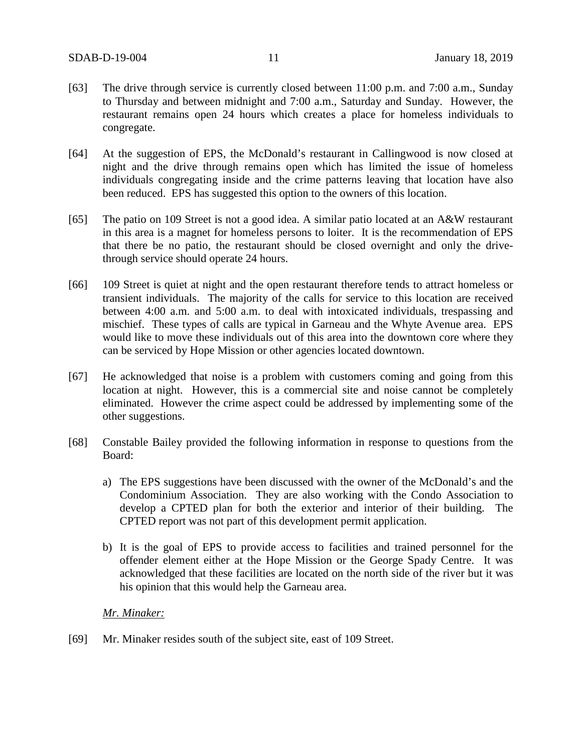- [63] The drive through service is currently closed between 11:00 p.m. and 7:00 a.m., Sunday to Thursday and between midnight and 7:00 a.m., Saturday and Sunday. However, the restaurant remains open 24 hours which creates a place for homeless individuals to congregate.
- [64] At the suggestion of EPS, the McDonald's restaurant in Callingwood is now closed at night and the drive through remains open which has limited the issue of homeless individuals congregating inside and the crime patterns leaving that location have also been reduced. EPS has suggested this option to the owners of this location.
- [65] The patio on 109 Street is not a good idea. A similar patio located at an A&W restaurant in this area is a magnet for homeless persons to loiter. It is the recommendation of EPS that there be no patio, the restaurant should be closed overnight and only the drivethrough service should operate 24 hours.
- [66] 109 Street is quiet at night and the open restaurant therefore tends to attract homeless or transient individuals. The majority of the calls for service to this location are received between 4:00 a.m. and 5:00 a.m. to deal with intoxicated individuals, trespassing and mischief. These types of calls are typical in Garneau and the Whyte Avenue area. EPS would like to move these individuals out of this area into the downtown core where they can be serviced by Hope Mission or other agencies located downtown.
- [67] He acknowledged that noise is a problem with customers coming and going from this location at night. However, this is a commercial site and noise cannot be completely eliminated. However the crime aspect could be addressed by implementing some of the other suggestions.
- [68] Constable Bailey provided the following information in response to questions from the Board:
	- a) The EPS suggestions have been discussed with the owner of the McDonald's and the Condominium Association. They are also working with the Condo Association to develop a CPTED plan for both the exterior and interior of their building. The CPTED report was not part of this development permit application.
	- b) It is the goal of EPS to provide access to facilities and trained personnel for the offender element either at the Hope Mission or the George Spady Centre. It was acknowledged that these facilities are located on the north side of the river but it was his opinion that this would help the Garneau area.

#### *Mr. Minaker:*

[69] Mr. Minaker resides south of the subject site, east of 109 Street.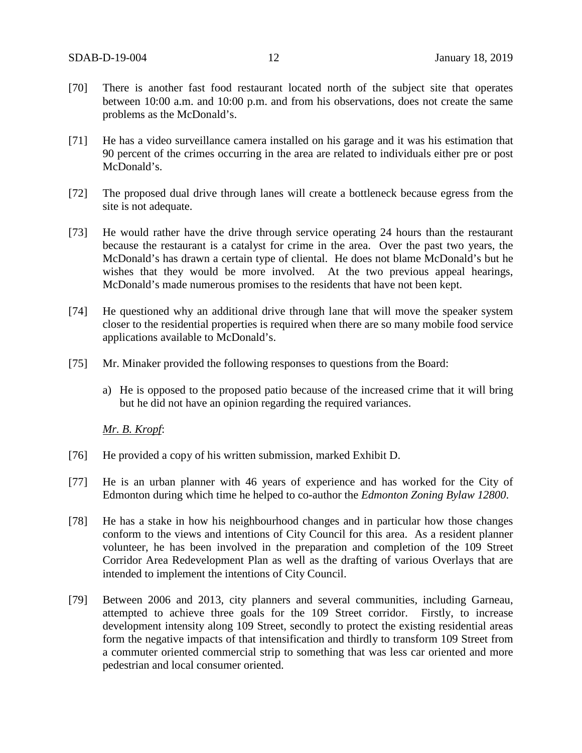- [70] There is another fast food restaurant located north of the subject site that operates between 10:00 a.m. and 10:00 p.m. and from his observations, does not create the same problems as the McDonald's.
- [71] He has a video surveillance camera installed on his garage and it was his estimation that 90 percent of the crimes occurring in the area are related to individuals either pre or post McDonald's.
- [72] The proposed dual drive through lanes will create a bottleneck because egress from the site is not adequate.
- [73] He would rather have the drive through service operating 24 hours than the restaurant because the restaurant is a catalyst for crime in the area. Over the past two years, the McDonald's has drawn a certain type of cliental. He does not blame McDonald's but he wishes that they would be more involved. At the two previous appeal hearings, McDonald's made numerous promises to the residents that have not been kept.
- [74] He questioned why an additional drive through lane that will move the speaker system closer to the residential properties is required when there are so many mobile food service applications available to McDonald's.
- [75] Mr. Minaker provided the following responses to questions from the Board:
	- a) He is opposed to the proposed patio because of the increased crime that it will bring but he did not have an opinion regarding the required variances.

#### *Mr. B. Kropf*:

- [76] He provided a copy of his written submission, marked Exhibit D.
- [77] He is an urban planner with 46 years of experience and has worked for the City of Edmonton during which time he helped to co-author the *Edmonton Zoning Bylaw 12800*.
- [78] He has a stake in how his neighbourhood changes and in particular how those changes conform to the views and intentions of City Council for this area. As a resident planner volunteer, he has been involved in the preparation and completion of the 109 Street Corridor Area Redevelopment Plan as well as the drafting of various Overlays that are intended to implement the intentions of City Council.
- [79] Between 2006 and 2013, city planners and several communities, including Garneau, attempted to achieve three goals for the 109 Street corridor. Firstly, to increase development intensity along 109 Street, secondly to protect the existing residential areas form the negative impacts of that intensification and thirdly to transform 109 Street from a commuter oriented commercial strip to something that was less car oriented and more pedestrian and local consumer oriented.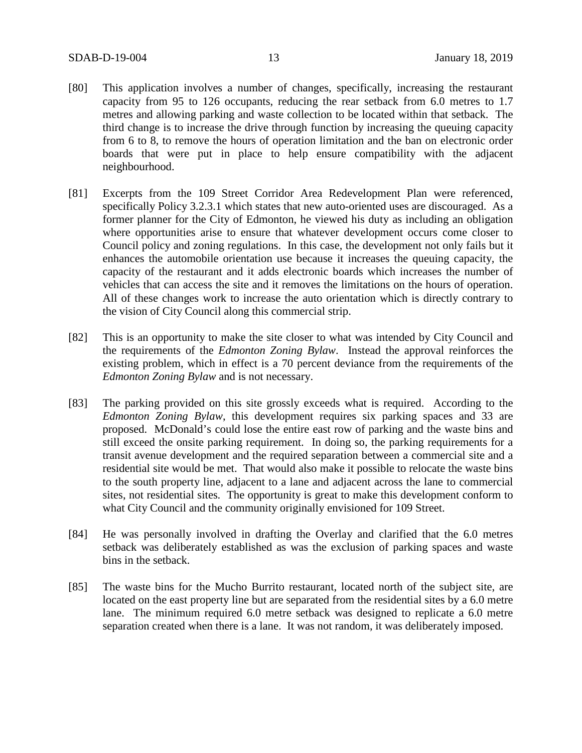- [80] This application involves a number of changes, specifically, increasing the restaurant capacity from 95 to 126 occupants, reducing the rear setback from 6.0 metres to 1.7 metres and allowing parking and waste collection to be located within that setback. The third change is to increase the drive through function by increasing the queuing capacity from 6 to 8, to remove the hours of operation limitation and the ban on electronic order boards that were put in place to help ensure compatibility with the adjacent neighbourhood.
- [81] Excerpts from the 109 Street Corridor Area Redevelopment Plan were referenced, specifically Policy 3.2.3.1 which states that new auto-oriented uses are discouraged. As a former planner for the City of Edmonton, he viewed his duty as including an obligation where opportunities arise to ensure that whatever development occurs come closer to Council policy and zoning regulations. In this case, the development not only fails but it enhances the automobile orientation use because it increases the queuing capacity, the capacity of the restaurant and it adds electronic boards which increases the number of vehicles that can access the site and it removes the limitations on the hours of operation. All of these changes work to increase the auto orientation which is directly contrary to the vision of City Council along this commercial strip.
- [82] This is an opportunity to make the site closer to what was intended by City Council and the requirements of the *Edmonton Zoning Bylaw*. Instead the approval reinforces the existing problem, which in effect is a 70 percent deviance from the requirements of the *Edmonton Zoning Bylaw* and is not necessary.
- [83] The parking provided on this site grossly exceeds what is required. According to the *Edmonton Zoning Bylaw*, this development requires six parking spaces and 33 are proposed. McDonald's could lose the entire east row of parking and the waste bins and still exceed the onsite parking requirement. In doing so, the parking requirements for a transit avenue development and the required separation between a commercial site and a residential site would be met. That would also make it possible to relocate the waste bins to the south property line, adjacent to a lane and adjacent across the lane to commercial sites, not residential sites. The opportunity is great to make this development conform to what City Council and the community originally envisioned for 109 Street.
- [84] He was personally involved in drafting the Overlay and clarified that the 6.0 metres setback was deliberately established as was the exclusion of parking spaces and waste bins in the setback.
- [85] The waste bins for the Mucho Burrito restaurant, located north of the subject site, are located on the east property line but are separated from the residential sites by a 6.0 metre lane. The minimum required 6.0 metre setback was designed to replicate a 6.0 metre separation created when there is a lane. It was not random, it was deliberately imposed.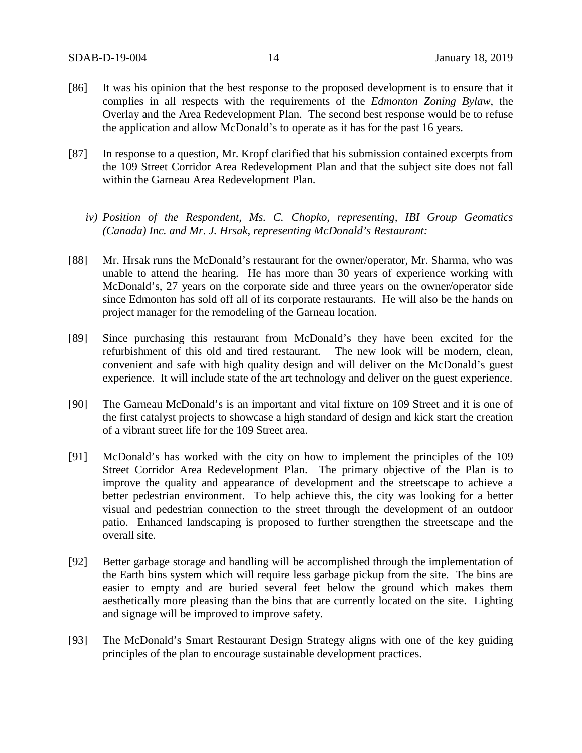- [86] It was his opinion that the best response to the proposed development is to ensure that it complies in all respects with the requirements of the *Edmonton Zoning Bylaw*, the Overlay and the Area Redevelopment Plan. The second best response would be to refuse the application and allow McDonald's to operate as it has for the past 16 years.
- [87] In response to a question, Mr. Kropf clarified that his submission contained excerpts from the 109 Street Corridor Area Redevelopment Plan and that the subject site does not fall within the Garneau Area Redevelopment Plan.
	- *iv) Position of the Respondent, Ms. C. Chopko, representing, IBI Group Geomatics (Canada) Inc. and Mr. J. Hrsak, representing McDonald's Restaurant:*
- [88] Mr. Hrsak runs the McDonald's restaurant for the owner/operator, Mr. Sharma, who was unable to attend the hearing. He has more than 30 years of experience working with McDonald's, 27 years on the corporate side and three years on the owner/operator side since Edmonton has sold off all of its corporate restaurants. He will also be the hands on project manager for the remodeling of the Garneau location.
- [89] Since purchasing this restaurant from McDonald's they have been excited for the refurbishment of this old and tired restaurant. The new look will be modern, clean, convenient and safe with high quality design and will deliver on the McDonald's guest experience. It will include state of the art technology and deliver on the guest experience.
- [90] The Garneau McDonald's is an important and vital fixture on 109 Street and it is one of the first catalyst projects to showcase a high standard of design and kick start the creation of a vibrant street life for the 109 Street area.
- [91] McDonald's has worked with the city on how to implement the principles of the 109 Street Corridor Area Redevelopment Plan. The primary objective of the Plan is to improve the quality and appearance of development and the streetscape to achieve a better pedestrian environment. To help achieve this, the city was looking for a better visual and pedestrian connection to the street through the development of an outdoor patio. Enhanced landscaping is proposed to further strengthen the streetscape and the overall site.
- [92] Better garbage storage and handling will be accomplished through the implementation of the Earth bins system which will require less garbage pickup from the site. The bins are easier to empty and are buried several feet below the ground which makes them aesthetically more pleasing than the bins that are currently located on the site. Lighting and signage will be improved to improve safety.
- [93] The McDonald's Smart Restaurant Design Strategy aligns with one of the key guiding principles of the plan to encourage sustainable development practices.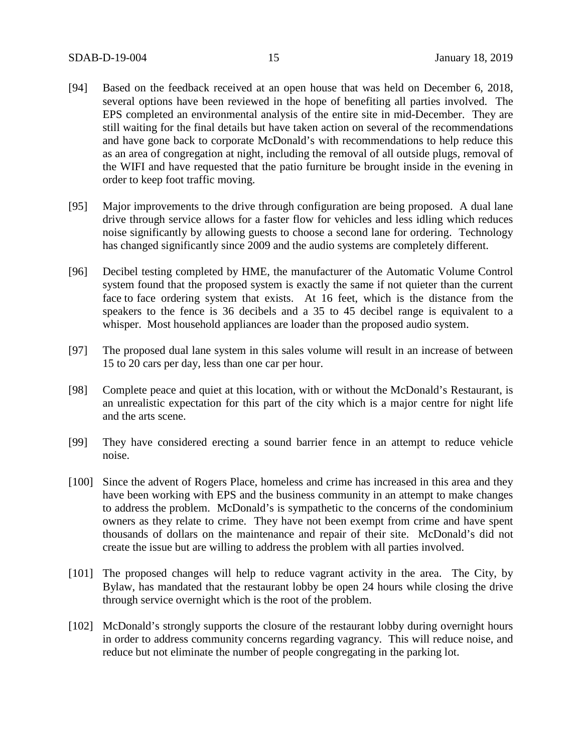- [94] Based on the feedback received at an open house that was held on December 6, 2018, several options have been reviewed in the hope of benefiting all parties involved. The EPS completed an environmental analysis of the entire site in mid-December. They are still waiting for the final details but have taken action on several of the recommendations and have gone back to corporate McDonald's with recommendations to help reduce this as an area of congregation at night, including the removal of all outside plugs, removal of the WIFI and have requested that the patio furniture be brought inside in the evening in order to keep foot traffic moving.
- [95] Major improvements to the drive through configuration are being proposed. A dual lane drive through service allows for a faster flow for vehicles and less idling which reduces noise significantly by allowing guests to choose a second lane for ordering. Technology has changed significantly since 2009 and the audio systems are completely different.
- [96] Decibel testing completed by HME, the manufacturer of the Automatic Volume Control system found that the proposed system is exactly the same if not quieter than the current face to face ordering system that exists. At 16 feet, which is the distance from the speakers to the fence is 36 decibels and a 35 to 45 decibel range is equivalent to a whisper. Most household appliances are loader than the proposed audio system.
- [97] The proposed dual lane system in this sales volume will result in an increase of between 15 to 20 cars per day, less than one car per hour.
- [98] Complete peace and quiet at this location, with or without the McDonald's Restaurant, is an unrealistic expectation for this part of the city which is a major centre for night life and the arts scene.
- [99] They have considered erecting a sound barrier fence in an attempt to reduce vehicle noise.
- [100] Since the advent of Rogers Place, homeless and crime has increased in this area and they have been working with EPS and the business community in an attempt to make changes to address the problem. McDonald's is sympathetic to the concerns of the condominium owners as they relate to crime. They have not been exempt from crime and have spent thousands of dollars on the maintenance and repair of their site. McDonald's did not create the issue but are willing to address the problem with all parties involved.
- [101] The proposed changes will help to reduce vagrant activity in the area. The City, by Bylaw, has mandated that the restaurant lobby be open 24 hours while closing the drive through service overnight which is the root of the problem.
- [102] McDonald's strongly supports the closure of the restaurant lobby during overnight hours in order to address community concerns regarding vagrancy. This will reduce noise, and reduce but not eliminate the number of people congregating in the parking lot.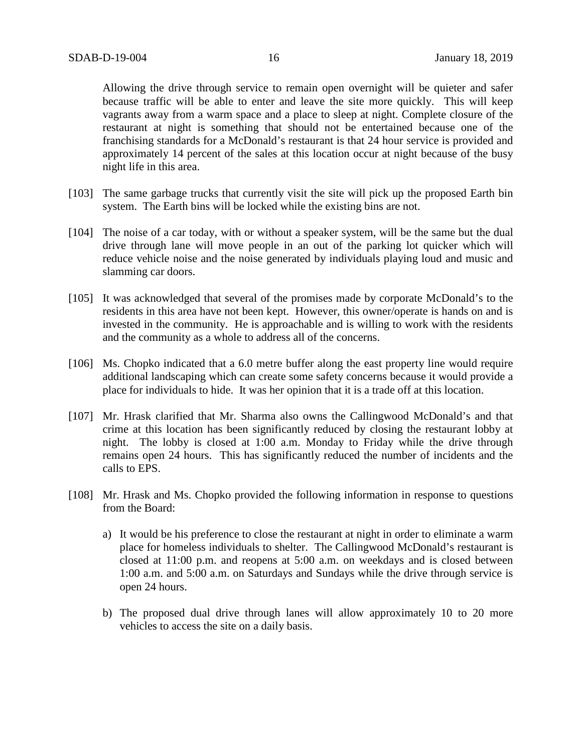Allowing the drive through service to remain open overnight will be quieter and safer because traffic will be able to enter and leave the site more quickly. This will keep vagrants away from a warm space and a place to sleep at night. Complete closure of the restaurant at night is something that should not be entertained because one of the franchising standards for a McDonald's restaurant is that 24 hour service is provided and approximately 14 percent of the sales at this location occur at night because of the busy night life in this area.

- [103] The same garbage trucks that currently visit the site will pick up the proposed Earth bin system. The Earth bins will be locked while the existing bins are not.
- [104] The noise of a car today, with or without a speaker system, will be the same but the dual drive through lane will move people in an out of the parking lot quicker which will reduce vehicle noise and the noise generated by individuals playing loud and music and slamming car doors.
- [105] It was acknowledged that several of the promises made by corporate McDonald's to the residents in this area have not been kept. However, this owner/operate is hands on and is invested in the community. He is approachable and is willing to work with the residents and the community as a whole to address all of the concerns.
- [106] Ms. Chopko indicated that a 6.0 metre buffer along the east property line would require additional landscaping which can create some safety concerns because it would provide a place for individuals to hide. It was her opinion that it is a trade off at this location.
- [107] Mr. Hrask clarified that Mr. Sharma also owns the Callingwood McDonald's and that crime at this location has been significantly reduced by closing the restaurant lobby at night. The lobby is closed at 1:00 a.m. Monday to Friday while the drive through remains open 24 hours. This has significantly reduced the number of incidents and the calls to EPS.
- [108] Mr. Hrask and Ms. Chopko provided the following information in response to questions from the Board:
	- a) It would be his preference to close the restaurant at night in order to eliminate a warm place for homeless individuals to shelter. The Callingwood McDonald's restaurant is closed at 11:00 p.m. and reopens at 5:00 a.m. on weekdays and is closed between 1:00 a.m. and 5:00 a.m. on Saturdays and Sundays while the drive through service is open 24 hours.
	- b) The proposed dual drive through lanes will allow approximately 10 to 20 more vehicles to access the site on a daily basis.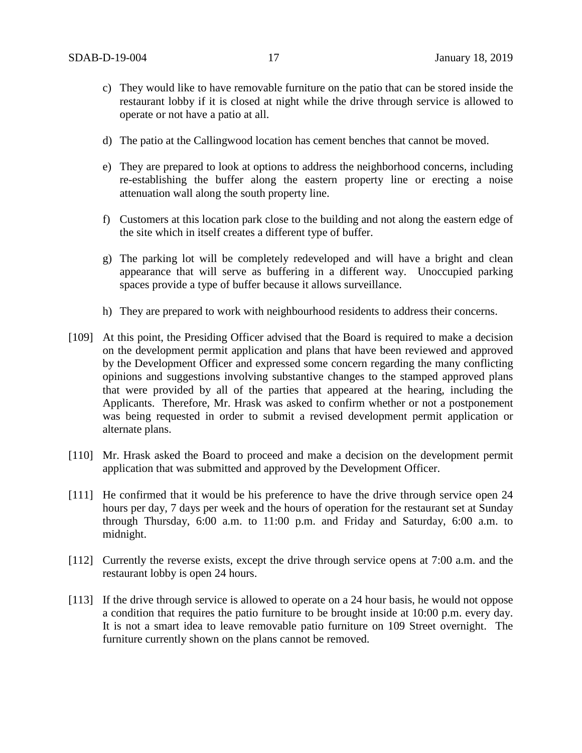- c) They would like to have removable furniture on the patio that can be stored inside the restaurant lobby if it is closed at night while the drive through service is allowed to operate or not have a patio at all.
- d) The patio at the Callingwood location has cement benches that cannot be moved.
- e) They are prepared to look at options to address the neighborhood concerns, including re-establishing the buffer along the eastern property line or erecting a noise attenuation wall along the south property line.
- f) Customers at this location park close to the building and not along the eastern edge of the site which in itself creates a different type of buffer.
- g) The parking lot will be completely redeveloped and will have a bright and clean appearance that will serve as buffering in a different way. Unoccupied parking spaces provide a type of buffer because it allows surveillance.
- h) They are prepared to work with neighbourhood residents to address their concerns.
- [109] At this point, the Presiding Officer advised that the Board is required to make a decision on the development permit application and plans that have been reviewed and approved by the Development Officer and expressed some concern regarding the many conflicting opinions and suggestions involving substantive changes to the stamped approved plans that were provided by all of the parties that appeared at the hearing, including the Applicants. Therefore, Mr. Hrask was asked to confirm whether or not a postponement was being requested in order to submit a revised development permit application or alternate plans.
- [110] Mr. Hrask asked the Board to proceed and make a decision on the development permit application that was submitted and approved by the Development Officer.
- [111] He confirmed that it would be his preference to have the drive through service open 24 hours per day, 7 days per week and the hours of operation for the restaurant set at Sunday through Thursday, 6:00 a.m. to 11:00 p.m. and Friday and Saturday, 6:00 a.m. to midnight.
- [112] Currently the reverse exists, except the drive through service opens at 7:00 a.m. and the restaurant lobby is open 24 hours.
- [113] If the drive through service is allowed to operate on a 24 hour basis, he would not oppose a condition that requires the patio furniture to be brought inside at 10:00 p.m. every day. It is not a smart idea to leave removable patio furniture on 109 Street overnight. The furniture currently shown on the plans cannot be removed.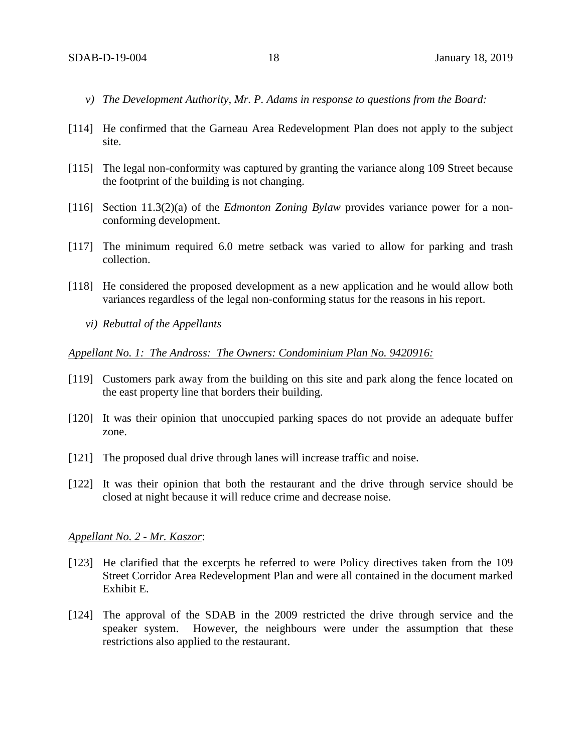- *v) The Development Authority, Mr. P. Adams in response to questions from the Board:*
- [114] He confirmed that the Garneau Area Redevelopment Plan does not apply to the subject site.
- [115] The legal non-conformity was captured by granting the variance along 109 Street because the footprint of the building is not changing.
- [116] Section 11.3(2)(a) of the *Edmonton Zoning Bylaw* provides variance power for a nonconforming development.
- [117] The minimum required 6.0 metre setback was varied to allow for parking and trash collection.
- [118] He considered the proposed development as a new application and he would allow both variances regardless of the legal non-conforming status for the reasons in his report.
	- *vi) Rebuttal of the Appellants*

#### *Appellant No. 1: The Andross: The Owners: Condominium Plan No. 9420916:*

- [119] Customers park away from the building on this site and park along the fence located on the east property line that borders their building.
- [120] It was their opinion that unoccupied parking spaces do not provide an adequate buffer zone.
- [121] The proposed dual drive through lanes will increase traffic and noise.
- [122] It was their opinion that both the restaurant and the drive through service should be closed at night because it will reduce crime and decrease noise.

#### *Appellant No. 2 - Mr. Kaszor*:

- [123] He clarified that the excerpts he referred to were Policy directives taken from the 109 Street Corridor Area Redevelopment Plan and were all contained in the document marked Exhibit E.
- [124] The approval of the SDAB in the 2009 restricted the drive through service and the speaker system. However, the neighbours were under the assumption that these restrictions also applied to the restaurant.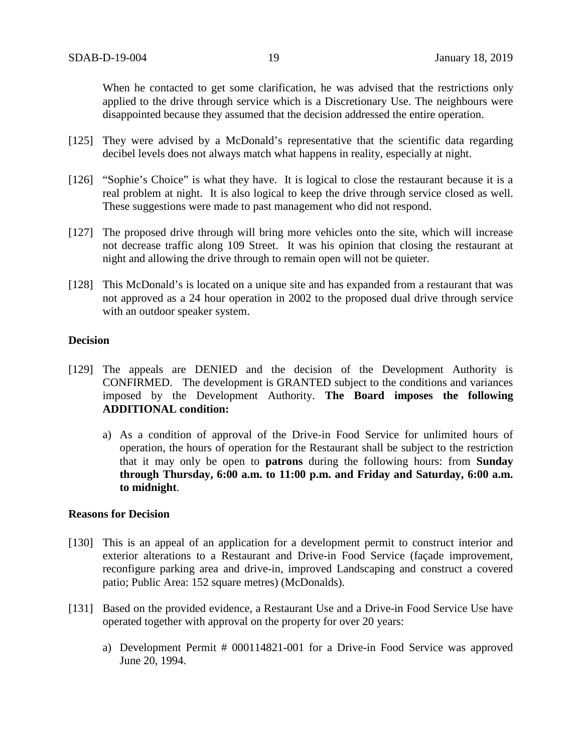When he contacted to get some clarification, he was advised that the restrictions only applied to the drive through service which is a Discretionary Use. The neighbours were disappointed because they assumed that the decision addressed the entire operation.

- [125] They were advised by a McDonald's representative that the scientific data regarding decibel levels does not always match what happens in reality, especially at night.
- [126] "Sophie's Choice" is what they have. It is logical to close the restaurant because it is a real problem at night. It is also logical to keep the drive through service closed as well. These suggestions were made to past management who did not respond.
- [127] The proposed drive through will bring more vehicles onto the site, which will increase not decrease traffic along 109 Street. It was his opinion that closing the restaurant at night and allowing the drive through to remain open will not be quieter.
- [128] This McDonald's is located on a unique site and has expanded from a restaurant that was not approved as a 24 hour operation in 2002 to the proposed dual drive through service with an outdoor speaker system.

## **Decision**

- [129] The appeals are DENIED and the decision of the Development Authority is CONFIRMED. The development is GRANTED subject to the conditions and variances imposed by the Development Authority. **The Board imposes the following ADDITIONAL condition:**
	- a) As a condition of approval of the Drive-in Food Service for unlimited hours of operation, the hours of operation for the Restaurant shall be subject to the restriction that it may only be open to **patrons** during the following hours: from **Sunday through Thursday, 6:00 a.m. to 11:00 p.m. and Friday and Saturday, 6:00 a.m. to midnight**.

#### **Reasons for Decision**

- [130] This is an appeal of an application for a development permit to construct interior and exterior alterations to a Restaurant and Drive-in Food Service (façade improvement, reconfigure parking area and drive-in, improved Landscaping and construct a covered patio; Public Area: 152 square metres) (McDonalds).
- [131] Based on the provided evidence, a Restaurant Use and a Drive-in Food Service Use have operated together with approval on the property for over 20 years:
	- a) Development Permit # 000114821-001 for a Drive-in Food Service was approved June 20, 1994.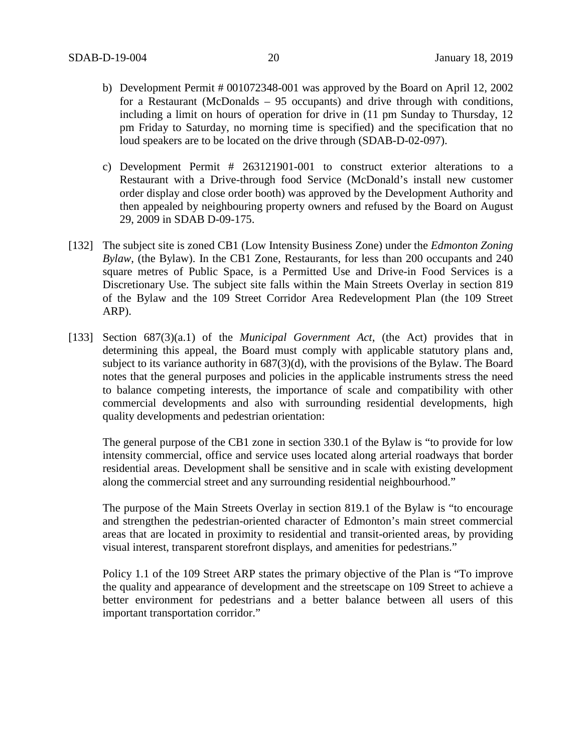- b) Development Permit # 001072348-001 was approved by the Board on April 12, 2002 for a Restaurant (McDonalds – 95 occupants) and drive through with conditions, including a limit on hours of operation for drive in (11 pm Sunday to Thursday, 12 pm Friday to Saturday, no morning time is specified) and the specification that no loud speakers are to be located on the drive through (SDAB-D-02-097).
- c) Development Permit # 263121901-001 to construct exterior alterations to a Restaurant with a Drive-through food Service (McDonald's install new customer order display and close order booth) was approved by the Development Authority and then appealed by neighbouring property owners and refused by the Board on August 29, 2009 in SDAB D-09-175.
- [132] The subject site is zoned CB1 (Low Intensity Business Zone) under the *Edmonton Zoning Bylaw*, (the Bylaw). In the CB1 Zone, Restaurants, for less than 200 occupants and 240 square metres of Public Space, is a Permitted Use and Drive-in Food Services is a Discretionary Use. The subject site falls within the Main Streets Overlay in section 819 of the Bylaw and the 109 Street Corridor Area Redevelopment Plan (the 109 Street ARP).
- [133] Section 687(3)(a.1) of the *Municipal Government Act*, (the Act) provides that in determining this appeal, the Board must comply with applicable statutory plans and, subject to its variance authority in 687(3)(d), with the provisions of the Bylaw. The Board notes that the general purposes and policies in the applicable instruments stress the need to balance competing interests, the importance of scale and compatibility with other commercial developments and also with surrounding residential developments, high quality developments and pedestrian orientation:

The general purpose of the CB1 zone in section 330.1 of the Bylaw is "to provide for low intensity commercial, office and service uses located along arterial roadways that border residential areas. Development shall be sensitive and in scale with existing development along the commercial street and any surrounding residential neighbourhood."

The purpose of the Main Streets Overlay in section 819.1 of the Bylaw is "to encourage and strengthen the pedestrian-oriented character of Edmonton's main street commercial areas that are located in proximity to residential and transit-oriented areas, by providing visual interest, transparent storefront displays, and amenities for pedestrians."

Policy 1.1 of the 109 Street ARP states the primary objective of the Plan is "To improve the quality and appearance of development and the streetscape on 109 Street to achieve a better environment for pedestrians and a better balance between all users of this important transportation corridor."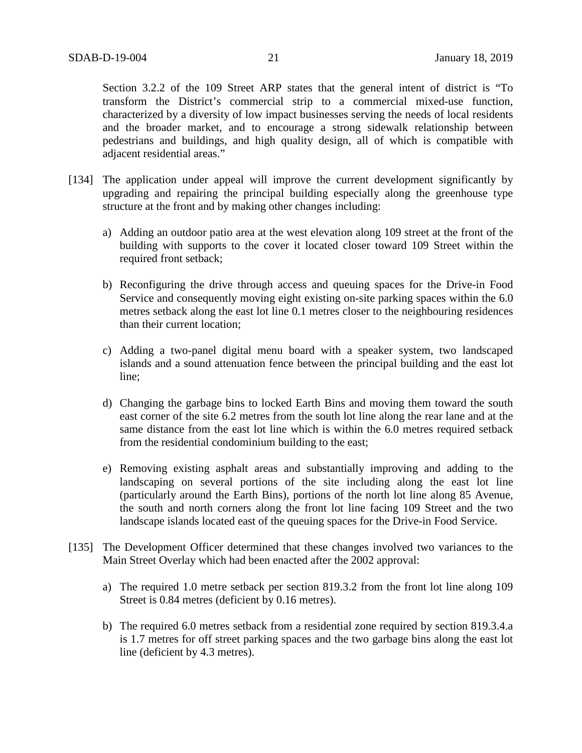Section 3.2.2 of the 109 Street ARP states that the general intent of district is "To transform the District's commercial strip to a commercial mixed-use function, characterized by a diversity of low impact businesses serving the needs of local residents and the broader market, and to encourage a strong sidewalk relationship between pedestrians and buildings, and high quality design, all of which is compatible with adjacent residential areas."

- [134] The application under appeal will improve the current development significantly by upgrading and repairing the principal building especially along the greenhouse type structure at the front and by making other changes including:
	- a) Adding an outdoor patio area at the west elevation along 109 street at the front of the building with supports to the cover it located closer toward 109 Street within the required front setback;
	- b) Reconfiguring the drive through access and queuing spaces for the Drive-in Food Service and consequently moving eight existing on-site parking spaces within the 6.0 metres setback along the east lot line 0.1 metres closer to the neighbouring residences than their current location;
	- c) Adding a two-panel digital menu board with a speaker system, two landscaped islands and a sound attenuation fence between the principal building and the east lot line;
	- d) Changing the garbage bins to locked Earth Bins and moving them toward the south east corner of the site 6.2 metres from the south lot line along the rear lane and at the same distance from the east lot line which is within the 6.0 metres required setback from the residential condominium building to the east;
	- e) Removing existing asphalt areas and substantially improving and adding to the landscaping on several portions of the site including along the east lot line (particularly around the Earth Bins), portions of the north lot line along 85 Avenue, the south and north corners along the front lot line facing 109 Street and the two landscape islands located east of the queuing spaces for the Drive-in Food Service.
- [135] The Development Officer determined that these changes involved two variances to the Main Street Overlay which had been enacted after the 2002 approval:
	- a) The required 1.0 metre setback per section 819.3.2 from the front lot line along 109 Street is 0.84 metres (deficient by 0.16 metres).
	- b) The required 6.0 metres setback from a residential zone required by section 819.3.4.a is 1.7 metres for off street parking spaces and the two garbage bins along the east lot line (deficient by 4.3 metres).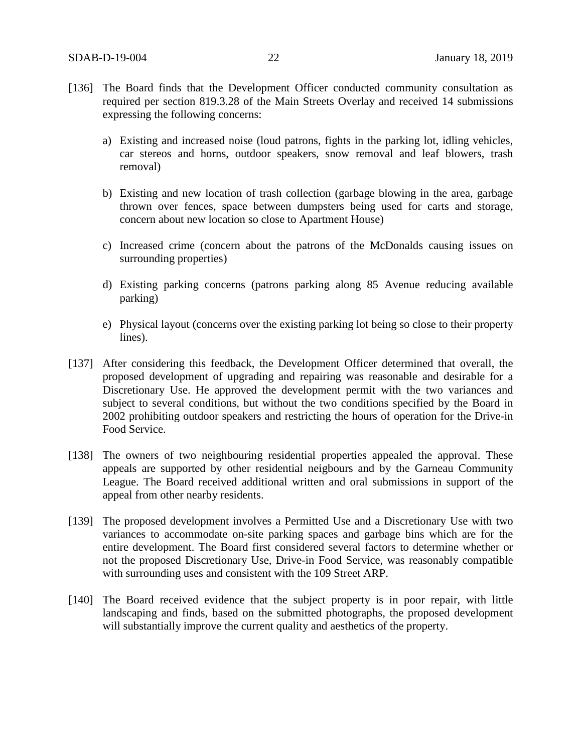- [136] The Board finds that the Development Officer conducted community consultation as required per section 819.3.28 of the Main Streets Overlay and received 14 submissions expressing the following concerns:
	- a) Existing and increased noise (loud patrons, fights in the parking lot, idling vehicles, car stereos and horns, outdoor speakers, snow removal and leaf blowers, trash removal)
	- b) Existing and new location of trash collection (garbage blowing in the area, garbage thrown over fences, space between dumpsters being used for carts and storage, concern about new location so close to Apartment House)
	- c) Increased crime (concern about the patrons of the McDonalds causing issues on surrounding properties)
	- d) Existing parking concerns (patrons parking along 85 Avenue reducing available parking)
	- e) Physical layout (concerns over the existing parking lot being so close to their property lines).
- [137] After considering this feedback, the Development Officer determined that overall, the proposed development of upgrading and repairing was reasonable and desirable for a Discretionary Use. He approved the development permit with the two variances and subject to several conditions, but without the two conditions specified by the Board in 2002 prohibiting outdoor speakers and restricting the hours of operation for the Drive-in Food Service.
- [138] The owners of two neighbouring residential properties appealed the approval. These appeals are supported by other residential neigbours and by the Garneau Community League. The Board received additional written and oral submissions in support of the appeal from other nearby residents.
- [139] The proposed development involves a Permitted Use and a Discretionary Use with two variances to accommodate on-site parking spaces and garbage bins which are for the entire development. The Board first considered several factors to determine whether or not the proposed Discretionary Use, Drive-in Food Service, was reasonably compatible with surrounding uses and consistent with the 109 Street ARP.
- [140] The Board received evidence that the subject property is in poor repair, with little landscaping and finds, based on the submitted photographs, the proposed development will substantially improve the current quality and aesthetics of the property.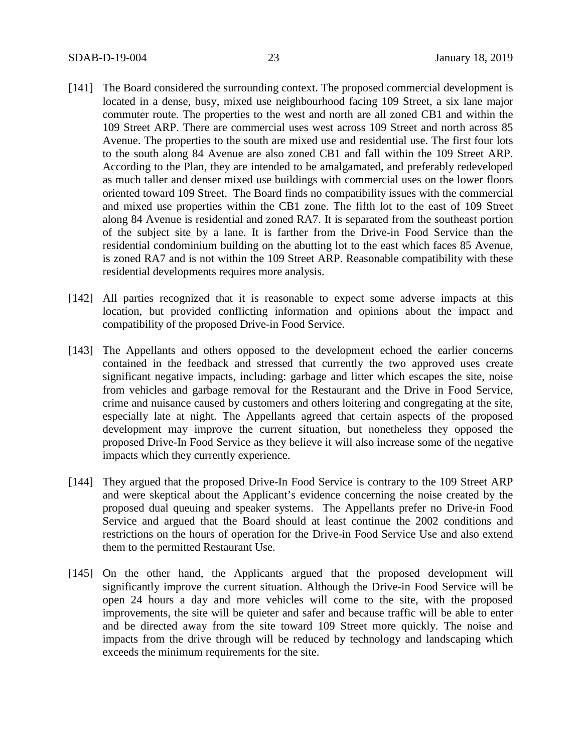- [141] The Board considered the surrounding context. The proposed commercial development is located in a dense, busy, mixed use neighbourhood facing 109 Street, a six lane major commuter route. The properties to the west and north are all zoned CB1 and within the 109 Street ARP. There are commercial uses west across 109 Street and north across 85 Avenue. The properties to the south are mixed use and residential use. The first four lots to the south along 84 Avenue are also zoned CB1 and fall within the 109 Street ARP. According to the Plan, they are intended to be amalgamated, and preferably redeveloped as much taller and denser mixed use buildings with commercial uses on the lower floors oriented toward 109 Street. The Board finds no compatibility issues with the commercial and mixed use properties within the CB1 zone. The fifth lot to the east of 109 Street along 84 Avenue is residential and zoned RA7. It is separated from the southeast portion of the subject site by a lane. It is farther from the Drive-in Food Service than the residential condominium building on the abutting lot to the east which faces 85 Avenue, is zoned RA7 and is not within the 109 Street ARP. Reasonable compatibility with these residential developments requires more analysis.
- [142] All parties recognized that it is reasonable to expect some adverse impacts at this location, but provided conflicting information and opinions about the impact and compatibility of the proposed Drive-in Food Service.
- [143] The Appellants and others opposed to the development echoed the earlier concerns contained in the feedback and stressed that currently the two approved uses create significant negative impacts, including: garbage and litter which escapes the site, noise from vehicles and garbage removal for the Restaurant and the Drive in Food Service, crime and nuisance caused by customers and others loitering and congregating at the site, especially late at night. The Appellants agreed that certain aspects of the proposed development may improve the current situation, but nonetheless they opposed the proposed Drive-In Food Service as they believe it will also increase some of the negative impacts which they currently experience.
- [144] They argued that the proposed Drive-In Food Service is contrary to the 109 Street ARP and were skeptical about the Applicant's evidence concerning the noise created by the proposed dual queuing and speaker systems. The Appellants prefer no Drive-in Food Service and argued that the Board should at least continue the 2002 conditions and restrictions on the hours of operation for the Drive-in Food Service Use and also extend them to the permitted Restaurant Use.
- [145] On the other hand, the Applicants argued that the proposed development will significantly improve the current situation. Although the Drive-in Food Service will be open 24 hours a day and more vehicles will come to the site, with the proposed improvements, the site will be quieter and safer and because traffic will be able to enter and be directed away from the site toward 109 Street more quickly. The noise and impacts from the drive through will be reduced by technology and landscaping which exceeds the minimum requirements for the site.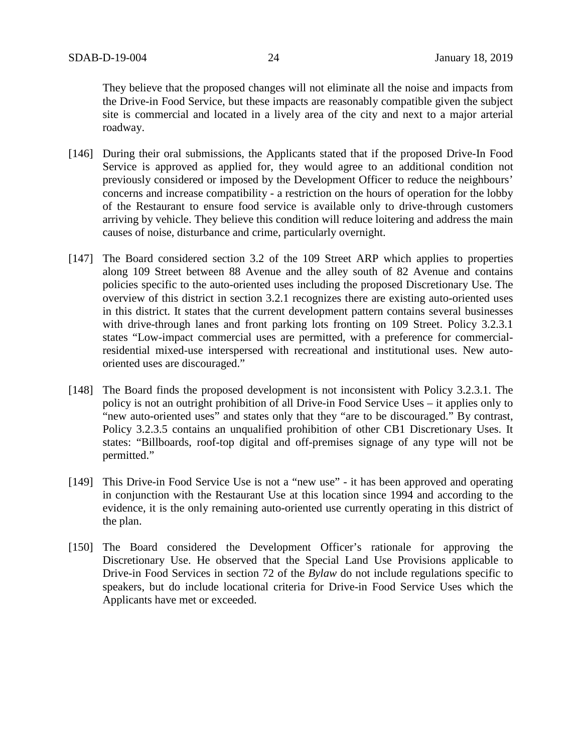They believe that the proposed changes will not eliminate all the noise and impacts from the Drive-in Food Service, but these impacts are reasonably compatible given the subject site is commercial and located in a lively area of the city and next to a major arterial roadway.

- [146] During their oral submissions, the Applicants stated that if the proposed Drive-In Food Service is approved as applied for, they would agree to an additional condition not previously considered or imposed by the Development Officer to reduce the neighbours' concerns and increase compatibility - a restriction on the hours of operation for the lobby of the Restaurant to ensure food service is available only to drive-through customers arriving by vehicle. They believe this condition will reduce loitering and address the main causes of noise, disturbance and crime, particularly overnight.
- [147] The Board considered section 3.2 of the 109 Street ARP which applies to properties along 109 Street between 88 Avenue and the alley south of 82 Avenue and contains policies specific to the auto-oriented uses including the proposed Discretionary Use. The overview of this district in section 3.2.1 recognizes there are existing auto-oriented uses in this district. It states that the current development pattern contains several businesses with drive-through lanes and front parking lots fronting on 109 Street. Policy 3.2.3.1 states "Low-impact commercial uses are permitted, with a preference for commercialresidential mixed-use interspersed with recreational and institutional uses. New autooriented uses are discouraged."
- [148] The Board finds the proposed development is not inconsistent with Policy 3.2.3.1. The policy is not an outright prohibition of all Drive-in Food Service Uses – it applies only to "new auto-oriented uses" and states only that they "are to be discouraged." By contrast, Policy 3.2.3.5 contains an unqualified prohibition of other CB1 Discretionary Uses. It states: "Billboards, roof-top digital and off-premises signage of any type will not be permitted."
- [149] This Drive-in Food Service Use is not a "new use" it has been approved and operating in conjunction with the Restaurant Use at this location since 1994 and according to the evidence, it is the only remaining auto-oriented use currently operating in this district of the plan.
- [150] The Board considered the Development Officer's rationale for approving the Discretionary Use. He observed that the Special Land Use Provisions applicable to Drive-in Food Services in section 72 of the *Bylaw* do not include regulations specific to speakers, but do include locational criteria for Drive-in Food Service Uses which the Applicants have met or exceeded.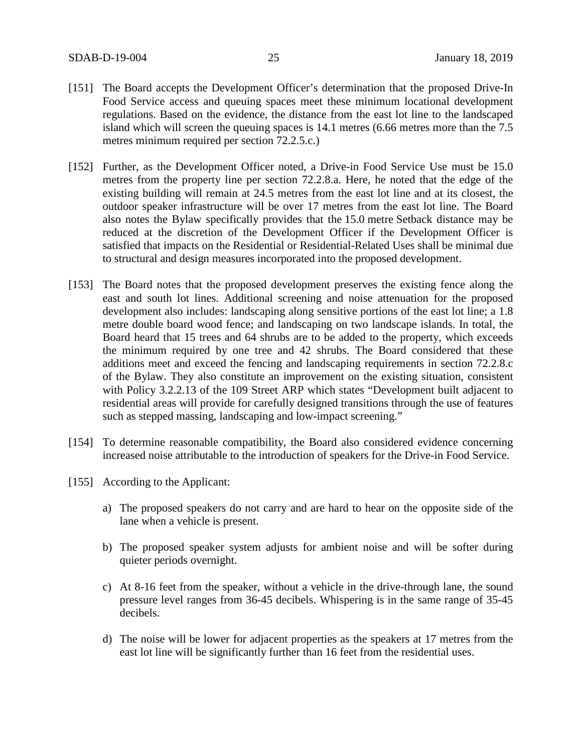- [151] The Board accepts the Development Officer's determination that the proposed Drive-In Food Service access and queuing spaces meet these minimum locational development regulations. Based on the evidence, the distance from the east lot line to the landscaped island which will screen the queuing spaces is 14.1 metres (6.66 metres more than the 7.5 metres minimum required per section 72.2.5.c.)
- [152] Further, as the Development Officer noted, a Drive-in Food Service Use must be 15.0 metres from the property line per section 72.2.8.a. Here, he noted that the edge of the existing building will remain at 24.5 metres from the east lot line and at its closest, the outdoor speaker infrastructure will be over 17 metres from the east lot line. The Board also notes the Bylaw specifically provides that the 15.0 metre Setback distance may be reduced at the discretion of the Development Officer if the Development Officer is satisfied that impacts on the Residential or Residential-Related Uses shall be minimal due to structural and design measures incorporated into the proposed development.
- [153] The Board notes that the proposed development preserves the existing fence along the east and south lot lines. Additional screening and noise attenuation for the proposed development also includes: landscaping along sensitive portions of the east lot line; a 1.8 metre double board wood fence; and landscaping on two landscape islands. In total, the Board heard that 15 trees and 64 shrubs are to be added to the property, which exceeds the minimum required by one tree and 42 shrubs. The Board considered that these additions meet and exceed the fencing and landscaping requirements in section 72.2.8.c of the Bylaw. They also constitute an improvement on the existing situation, consistent with Policy 3.2.2.13 of the 109 Street ARP which states "Development built adjacent to residential areas will provide for carefully designed transitions through the use of features such as stepped massing, landscaping and low-impact screening."
- [154] To determine reasonable compatibility, the Board also considered evidence concerning increased noise attributable to the introduction of speakers for the Drive-in Food Service.
- [155] According to the Applicant:
	- a) The proposed speakers do not carry and are hard to hear on the opposite side of the lane when a vehicle is present.
	- b) The proposed speaker system adjusts for ambient noise and will be softer during quieter periods overnight.
	- c) At 8-16 feet from the speaker, without a vehicle in the drive-through lane, the sound pressure level ranges from 36-45 decibels. Whispering is in the same range of 35-45 decibels.
	- d) The noise will be lower for adjacent properties as the speakers at 17 metres from the east lot line will be significantly further than 16 feet from the residential uses.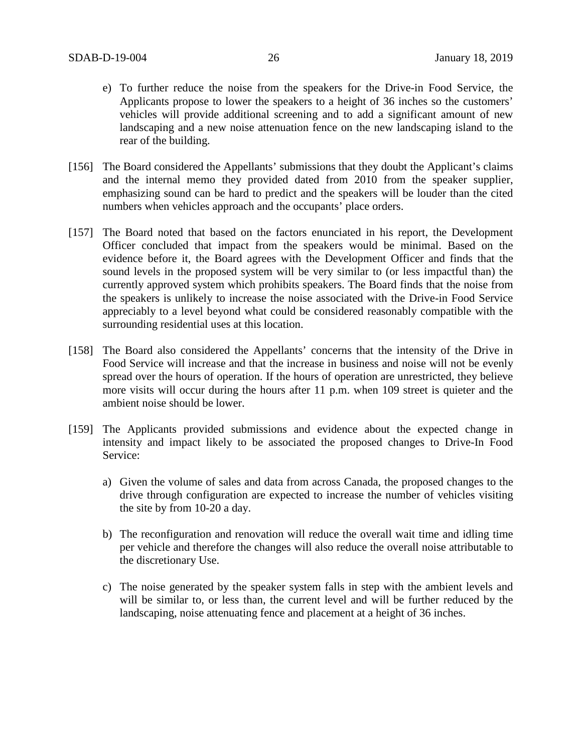- e) To further reduce the noise from the speakers for the Drive-in Food Service, the Applicants propose to lower the speakers to a height of 36 inches so the customers' vehicles will provide additional screening and to add a significant amount of new landscaping and a new noise attenuation fence on the new landscaping island to the rear of the building.
- [156] The Board considered the Appellants' submissions that they doubt the Applicant's claims and the internal memo they provided dated from 2010 from the speaker supplier, emphasizing sound can be hard to predict and the speakers will be louder than the cited numbers when vehicles approach and the occupants' place orders.
- [157] The Board noted that based on the factors enunciated in his report, the Development Officer concluded that impact from the speakers would be minimal. Based on the evidence before it, the Board agrees with the Development Officer and finds that the sound levels in the proposed system will be very similar to (or less impactful than) the currently approved system which prohibits speakers. The Board finds that the noise from the speakers is unlikely to increase the noise associated with the Drive-in Food Service appreciably to a level beyond what could be considered reasonably compatible with the surrounding residential uses at this location.
- [158] The Board also considered the Appellants' concerns that the intensity of the Drive in Food Service will increase and that the increase in business and noise will not be evenly spread over the hours of operation. If the hours of operation are unrestricted, they believe more visits will occur during the hours after 11 p.m. when 109 street is quieter and the ambient noise should be lower.
- [159] The Applicants provided submissions and evidence about the expected change in intensity and impact likely to be associated the proposed changes to Drive-In Food Service:
	- a) Given the volume of sales and data from across Canada, the proposed changes to the drive through configuration are expected to increase the number of vehicles visiting the site by from 10-20 a day.
	- b) The reconfiguration and renovation will reduce the overall wait time and idling time per vehicle and therefore the changes will also reduce the overall noise attributable to the discretionary Use.
	- c) The noise generated by the speaker system falls in step with the ambient levels and will be similar to, or less than, the current level and will be further reduced by the landscaping, noise attenuating fence and placement at a height of 36 inches.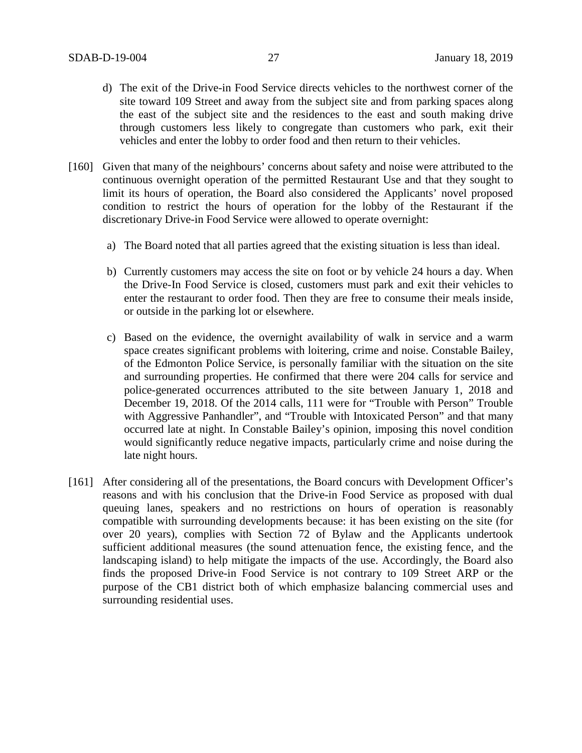- d) The exit of the Drive-in Food Service directs vehicles to the northwest corner of the site toward 109 Street and away from the subject site and from parking spaces along the east of the subject site and the residences to the east and south making drive through customers less likely to congregate than customers who park, exit their vehicles and enter the lobby to order food and then return to their vehicles.
- [160] Given that many of the neighbours' concerns about safety and noise were attributed to the continuous overnight operation of the permitted Restaurant Use and that they sought to limit its hours of operation, the Board also considered the Applicants' novel proposed condition to restrict the hours of operation for the lobby of the Restaurant if the discretionary Drive-in Food Service were allowed to operate overnight:
	- a) The Board noted that all parties agreed that the existing situation is less than ideal.
	- b) Currently customers may access the site on foot or by vehicle 24 hours a day. When the Drive-In Food Service is closed, customers must park and exit their vehicles to enter the restaurant to order food. Then they are free to consume their meals inside, or outside in the parking lot or elsewhere.
	- c) Based on the evidence, the overnight availability of walk in service and a warm space creates significant problems with loitering, crime and noise. Constable Bailey, of the Edmonton Police Service, is personally familiar with the situation on the site and surrounding properties. He confirmed that there were 204 calls for service and police-generated occurrences attributed to the site between January 1, 2018 and December 19, 2018. Of the 2014 calls, 111 were for "Trouble with Person" Trouble with Aggressive Panhandler", and "Trouble with Intoxicated Person" and that many occurred late at night. In Constable Bailey's opinion, imposing this novel condition would significantly reduce negative impacts, particularly crime and noise during the late night hours.
- [161] After considering all of the presentations, the Board concurs with Development Officer's reasons and with his conclusion that the Drive-in Food Service as proposed with dual queuing lanes, speakers and no restrictions on hours of operation is reasonably compatible with surrounding developments because: it has been existing on the site (for over 20 years), complies with Section 72 of Bylaw and the Applicants undertook sufficient additional measures (the sound attenuation fence, the existing fence, and the landscaping island) to help mitigate the impacts of the use. Accordingly, the Board also finds the proposed Drive-in Food Service is not contrary to 109 Street ARP or the purpose of the CB1 district both of which emphasize balancing commercial uses and surrounding residential uses.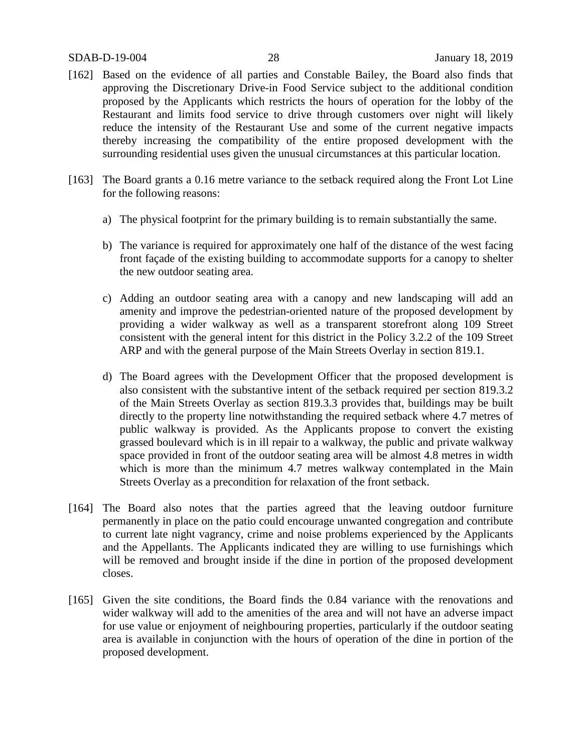## SDAB-D-19-004 28 January 18, 2019

- [162] Based on the evidence of all parties and Constable Bailey, the Board also finds that approving the Discretionary Drive-in Food Service subject to the additional condition proposed by the Applicants which restricts the hours of operation for the lobby of the Restaurant and limits food service to drive through customers over night will likely reduce the intensity of the Restaurant Use and some of the current negative impacts thereby increasing the compatibility of the entire proposed development with the surrounding residential uses given the unusual circumstances at this particular location.
- [163] The Board grants a 0.16 metre variance to the setback required along the Front Lot Line for the following reasons:
	- a) The physical footprint for the primary building is to remain substantially the same.
	- b) The variance is required for approximately one half of the distance of the west facing front façade of the existing building to accommodate supports for a canopy to shelter the new outdoor seating area.
	- c) Adding an outdoor seating area with a canopy and new landscaping will add an amenity and improve the pedestrian-oriented nature of the proposed development by providing a wider walkway as well as a transparent storefront along 109 Street consistent with the general intent for this district in the Policy 3.2.2 of the 109 Street ARP and with the general purpose of the Main Streets Overlay in section 819.1.
	- d) The Board agrees with the Development Officer that the proposed development is also consistent with the substantive intent of the setback required per section 819.3.2 of the Main Streets Overlay as section 819.3.3 provides that, buildings may be built directly to the property line notwithstanding the required setback where 4.7 metres of public walkway is provided. As the Applicants propose to convert the existing grassed boulevard which is in ill repair to a walkway, the public and private walkway space provided in front of the outdoor seating area will be almost 4.8 metres in width which is more than the minimum 4.7 metres walkway contemplated in the Main Streets Overlay as a precondition for relaxation of the front setback.
- [164] The Board also notes that the parties agreed that the leaving outdoor furniture permanently in place on the patio could encourage unwanted congregation and contribute to current late night vagrancy, crime and noise problems experienced by the Applicants and the Appellants. The Applicants indicated they are willing to use furnishings which will be removed and brought inside if the dine in portion of the proposed development closes.
- [165] Given the site conditions, the Board finds the 0.84 variance with the renovations and wider walkway will add to the amenities of the area and will not have an adverse impact for use value or enjoyment of neighbouring properties, particularly if the outdoor seating area is available in conjunction with the hours of operation of the dine in portion of the proposed development.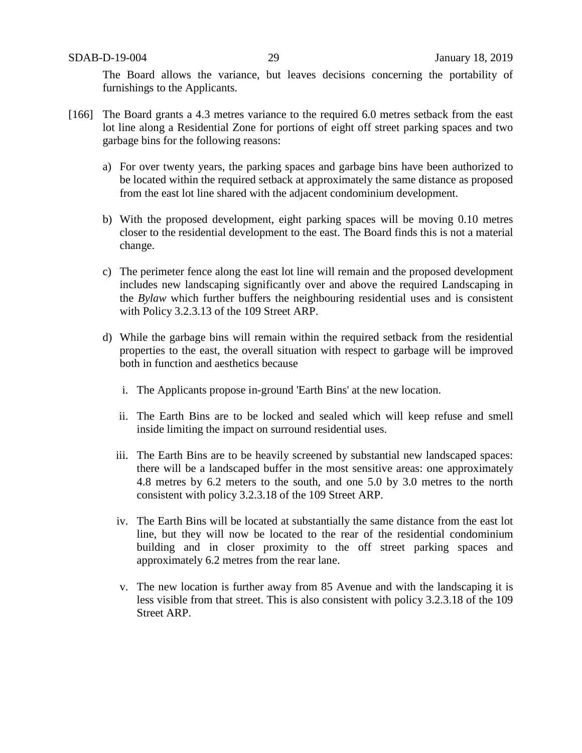The Board allows the variance, but leaves decisions concerning the portability of furnishings to the Applicants.

- [166] The Board grants a 4.3 metres variance to the required 6.0 metres setback from the east lot line along a Residential Zone for portions of eight off street parking spaces and two garbage bins for the following reasons:
	- a) For over twenty years, the parking spaces and garbage bins have been authorized to be located within the required setback at approximately the same distance as proposed from the east lot line shared with the adjacent condominium development.
	- b) With the proposed development, eight parking spaces will be moving 0.10 metres closer to the residential development to the east. The Board finds this is not a material change.
	- c) The perimeter fence along the east lot line will remain and the proposed development includes new landscaping significantly over and above the required Landscaping in the *Bylaw* which further buffers the neighbouring residential uses and is consistent with Policy 3.2.3.13 of the 109 Street ARP.
	- d) While the garbage bins will remain within the required setback from the residential properties to the east, the overall situation with respect to garbage will be improved both in function and aesthetics because
		- i. The Applicants propose in-ground 'Earth Bins' at the new location.
		- ii. The Earth Bins are to be locked and sealed which will keep refuse and smell inside limiting the impact on surround residential uses.
		- iii. The Earth Bins are to be heavily screened by substantial new landscaped spaces: there will be a landscaped buffer in the most sensitive areas: one approximately 4.8 metres by 6.2 meters to the south, and one 5.0 by 3.0 metres to the north consistent with policy 3.2.3.18 of the 109 Street ARP.
		- iv. The Earth Bins will be located at substantially the same distance from the east lot line, but they will now be located to the rear of the residential condominium building and in closer proximity to the off street parking spaces and approximately 6.2 metres from the rear lane.
		- v. The new location is further away from 85 Avenue and with the landscaping it is less visible from that street. This is also consistent with policy 3.2.3.18 of the 109 Street ARP.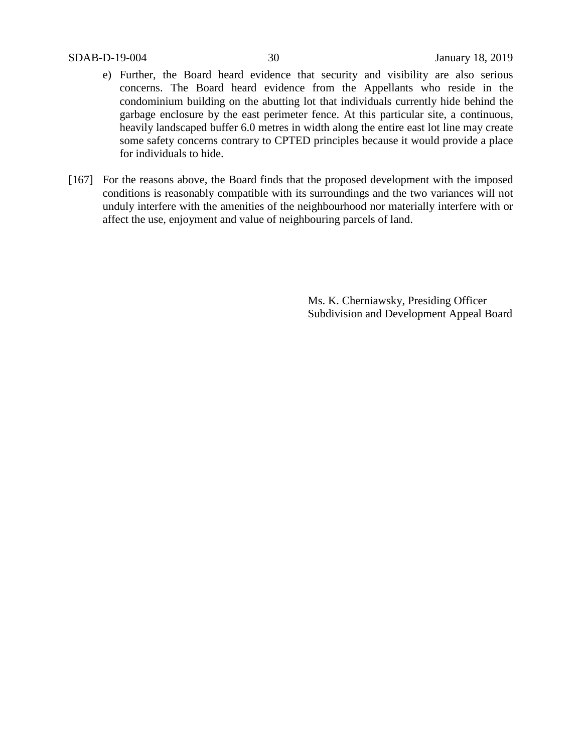- e) Further, the Board heard evidence that security and visibility are also serious concerns. The Board heard evidence from the Appellants who reside in the condominium building on the abutting lot that individuals currently hide behind the garbage enclosure by the east perimeter fence. At this particular site, a continuous, heavily landscaped buffer 6.0 metres in width along the entire east lot line may create some safety concerns contrary to CPTED principles because it would provide a place for individuals to hide.
- [167] For the reasons above, the Board finds that the proposed development with the imposed conditions is reasonably compatible with its surroundings and the two variances will not unduly interfere with the amenities of the neighbourhood nor materially interfere with or affect the use, enjoyment and value of neighbouring parcels of land.

Ms. K. Cherniawsky, Presiding Officer Subdivision and Development Appeal Board